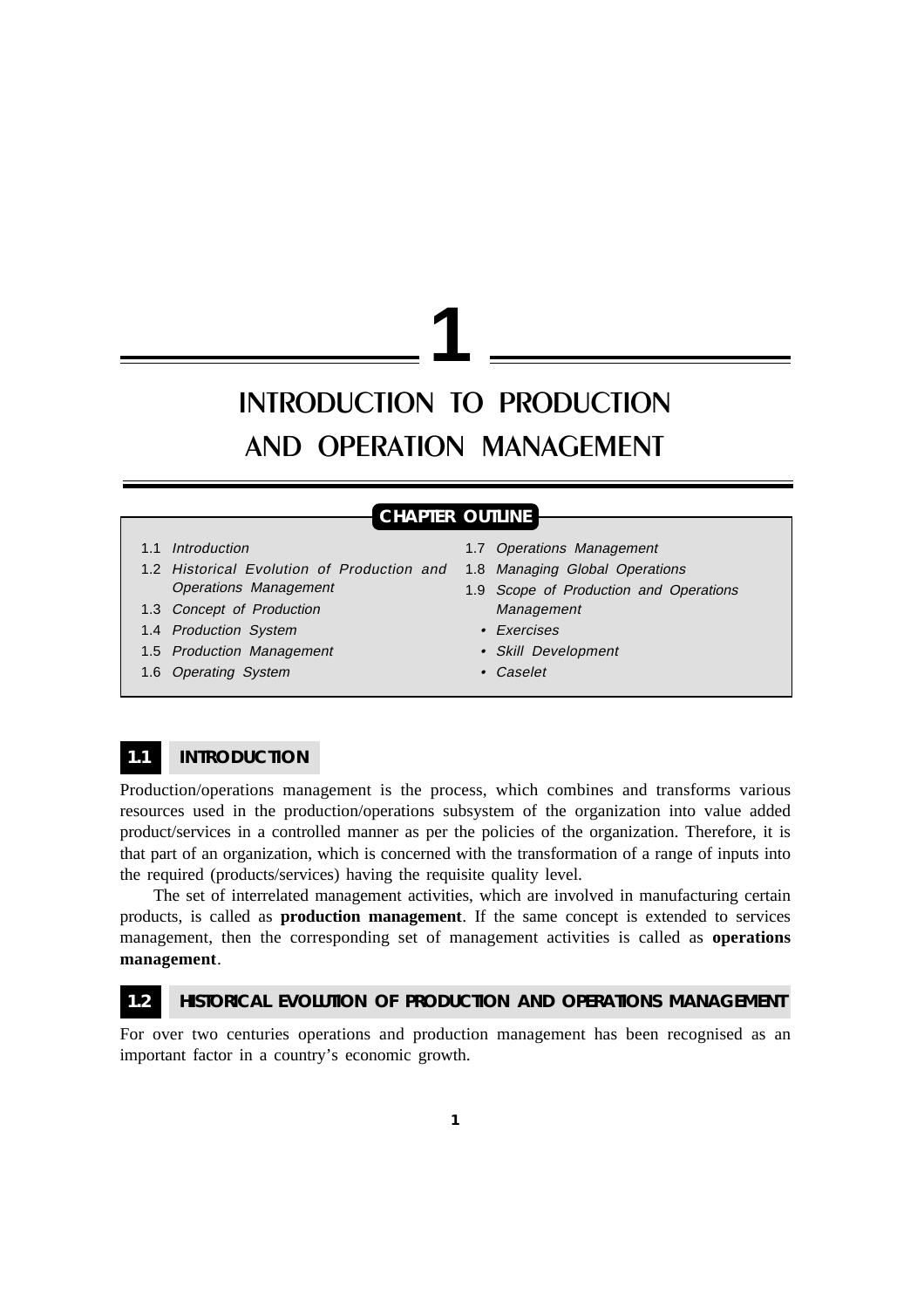# INTRODUCTION TO PRODUCTION AND OPERATION MANAGEMENT

**1**

# **CHAPTER OUTLINE**

- 1.1 Introduction
- 1.2 Historical Evolution of Production and Operations Management
- 1.3 Concept of Production
- 1.4 Production System
- 1.5 Production Management
- 1.6 Operating System
- 1.7 Operations Management
- 1.8 Managing Global Operations
- 1.9 Scope of Production and Operations Management
	- Exercises
	- Skill Development
	- Caselet

# **1.1 INTRODUCTION**

Production/operations management is the process, which combines and transforms various resources used in the production/operations subsystem of the organization into value added product/services in a controlled manner as per the policies of the organization. Therefore, it is that part of an organization, which is concerned with the transformation of a range of inputs into the required (products/services) having the requisite quality level.

The set of interrelated management activities, which are involved in manufacturing certain products, is called as **production management**. If the same concept is extended to services management, then the corresponding set of management activities is called as **operations management**.

### **1.2 HISTORICAL EVOLUTION OF PRODUCTION AND OPERATIONS MANAGEMENT**

For over two centuries operations and production management has been recognised as an important factor in a country's economic growth.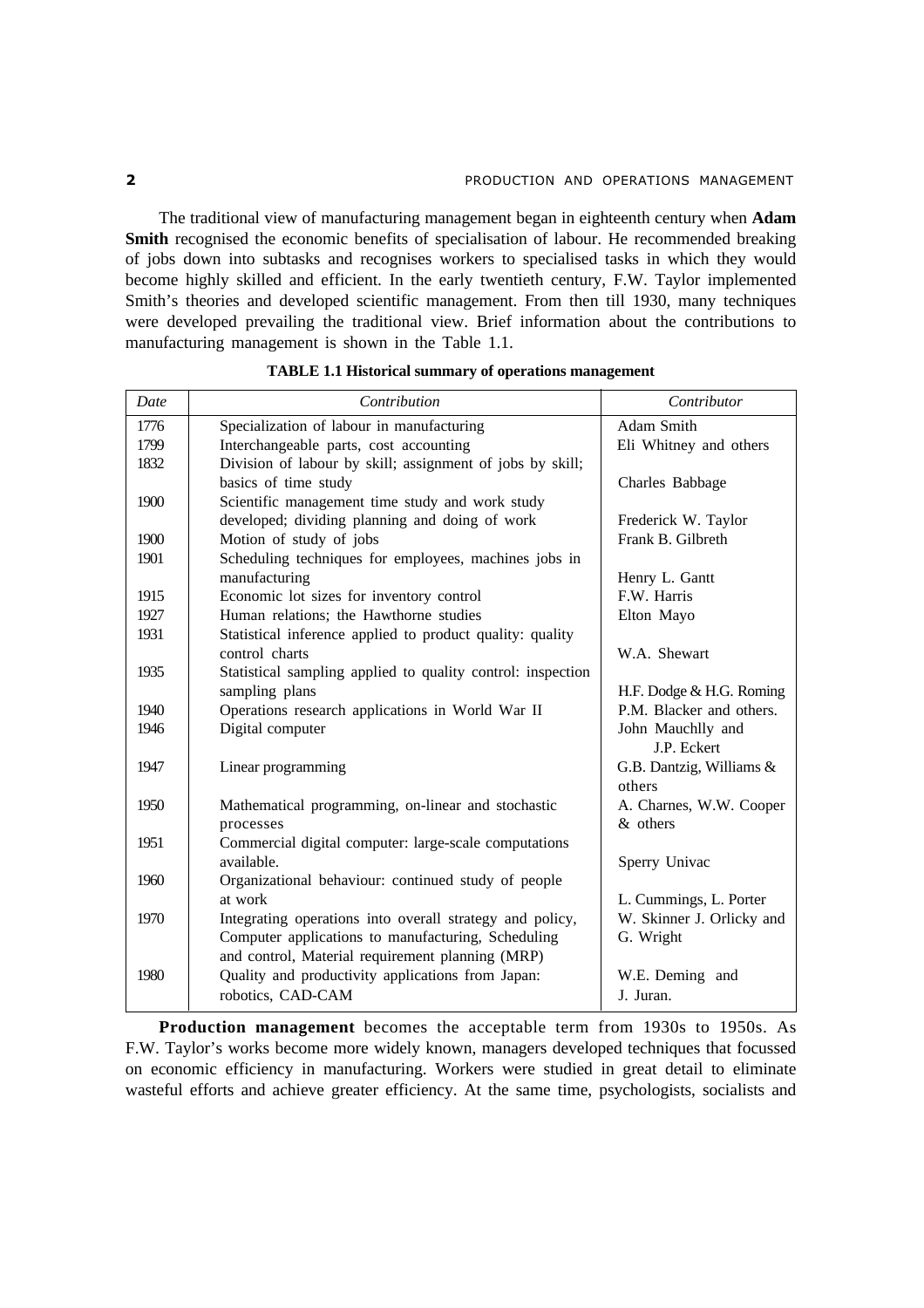The traditional view of manufacturing management began in eighteenth century when **Adam Smith** recognised the economic benefits of specialisation of labour. He recommended breaking of jobs down into subtasks and recognises workers to specialised tasks in which they would become highly skilled and efficient. In the early twentieth century, F.W. Taylor implemented Smith's theories and developed scientific management. From then till 1930, many techniques were developed prevailing the traditional view. Brief information about the contributions to manufacturing management is shown in the Table 1.1.

| Date | Contribution                                                       | Contributor                           |
|------|--------------------------------------------------------------------|---------------------------------------|
| 1776 | Specialization of labour in manufacturing                          | Adam Smith                            |
| 1799 | Interchangeable parts, cost accounting                             | Eli Whitney and others                |
| 1832 | Division of labour by skill; assignment of jobs by skill;          |                                       |
|      | basics of time study                                               | Charles Babbage                       |
| 1900 | Scientific management time study and work study                    |                                       |
|      | developed; dividing planning and doing of work                     | Frederick W. Taylor                   |
| 1900 | Motion of study of jobs                                            | Frank B. Gilbreth                     |
| 1901 | Scheduling techniques for employees, machines jobs in              |                                       |
|      | manufacturing                                                      | Henry L. Gantt                        |
| 1915 | Economic lot sizes for inventory control                           | F.W. Harris                           |
| 1927 | Human relations; the Hawthorne studies                             | Elton Mayo                            |
| 1931 | Statistical inference applied to product quality: quality          |                                       |
|      | control charts                                                     | W.A. Shewart                          |
| 1935 | Statistical sampling applied to quality control: inspection        |                                       |
|      | sampling plans                                                     | H.F. Dodge & H.G. Roming              |
| 1940 | Operations research applications in World War II                   | P.M. Blacker and others.              |
| 1946 | Digital computer                                                   | John Mauchlly and<br>J.P. Eckert      |
| 1947 | Linear programming                                                 | G.B. Dantzig, Williams &<br>others    |
| 1950 | Mathematical programming, on-linear and stochastic                 | A. Charnes, W.W. Cooper<br>$&$ others |
| 1951 | processes<br>Commercial digital computer: large-scale computations |                                       |
|      | available.                                                         | Sperry Univac                         |
| 1960 | Organizational behaviour: continued study of people                |                                       |
|      | at work                                                            | L. Cummings, L. Porter                |
| 1970 | Integrating operations into overall strategy and policy,           | W. Skinner J. Orlicky and             |
|      | Computer applications to manufacturing, Scheduling                 | G. Wright                             |
|      | and control, Material requirement planning (MRP)                   |                                       |
| 1980 | Quality and productivity applications from Japan:                  | W.E. Deming and                       |
|      | robotics, CAD-CAM                                                  | J. Juran.                             |
|      |                                                                    |                                       |

**TABLE 1.1 Historical summary of operations management**

**Production management** becomes the acceptable term from 1930s to 1950s. As F.W. Taylor's works become more widely known, managers developed techniques that focussed on economic efficiency in manufacturing. Workers were studied in great detail to eliminate wasteful efforts and achieve greater efficiency. At the same time, psychologists, socialists and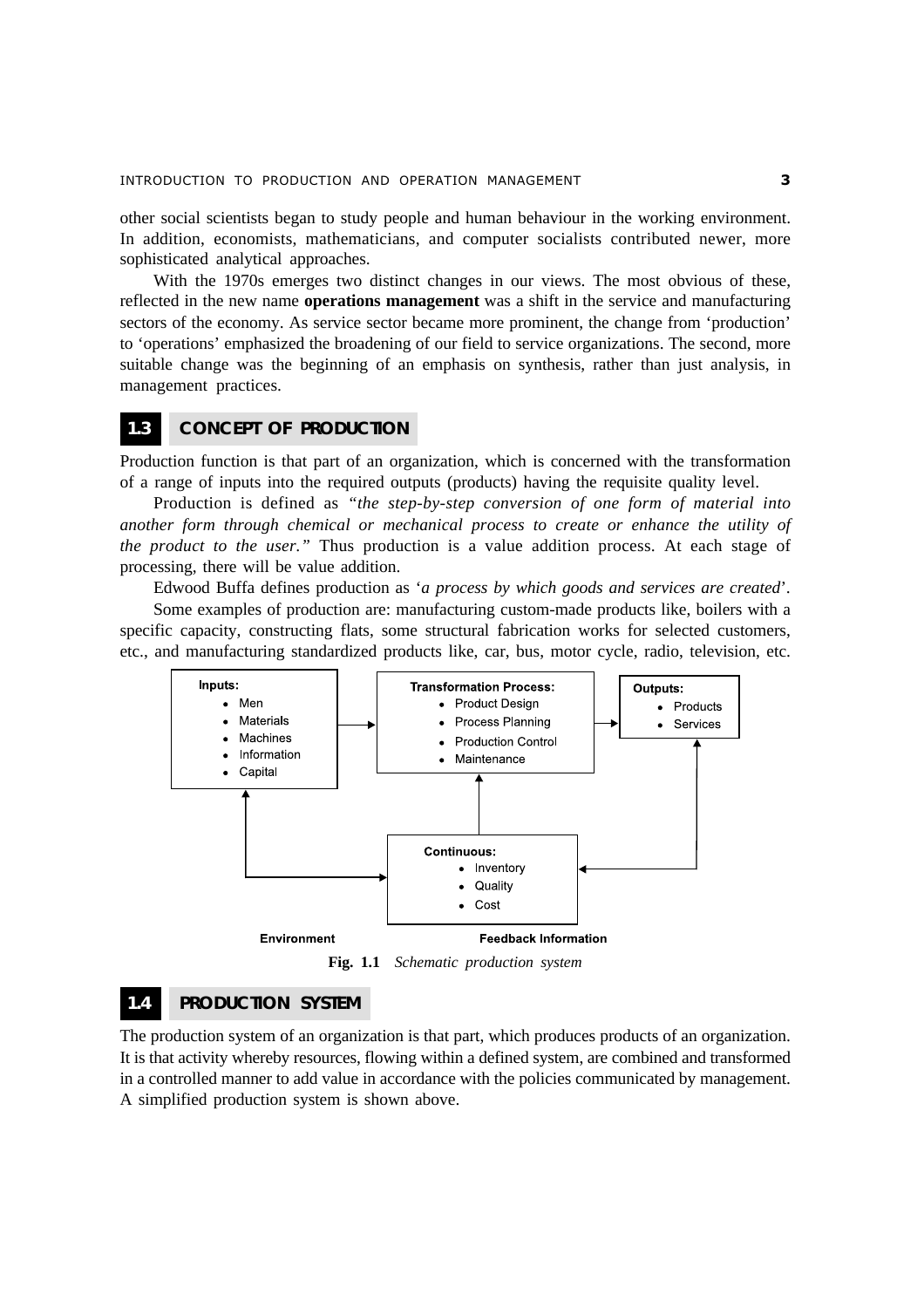other social scientists began to study people and human behaviour in the working environment. In addition, economists, mathematicians, and computer socialists contributed newer, more sophisticated analytical approaches.

With the 1970s emerges two distinct changes in our views. The most obvious of these, reflected in the new name **operations management** was a shift in the service and manufacturing sectors of the economy. As service sector became more prominent, the change from 'production' to 'operations' emphasized the broadening of our field to service organizations. The second, more suitable change was the beginning of an emphasis on synthesis, rather than just analysis, in management practices.

# **1.3 CONCEPT OF PRODUCTION**

Production function is that part of an organization, which is concerned with the transformation of a range of inputs into the required outputs (products) having the requisite quality level.

Production is defined as *"the step-by-step conversion of one form of material into another form through chemical or mechanical process to create or enhance the utility of the product to the user."* Thus production is a value addition process. At each stage of processing, there will be value addition.

Edwood Buffa defines production as '*a process by which goods and services are created*'.

Some examples of production are: manufacturing custom-made products like, boilers with a specific capacity, constructing flats, some structural fabrication works for selected customers, etc., and manufacturing standardized products like, car, bus, motor cycle, radio, television, etc.



**Fig. 1.1** *Schematic production system*

#### **1.4 PRODUCTION SYSTEM**

The production system of an organization is that part, which produces products of an organization. It is that activity whereby resources, flowing within a defined system, are combined and transformed in a controlled manner to add value in accordance with the policies communicated by management. A simplified production system is shown above.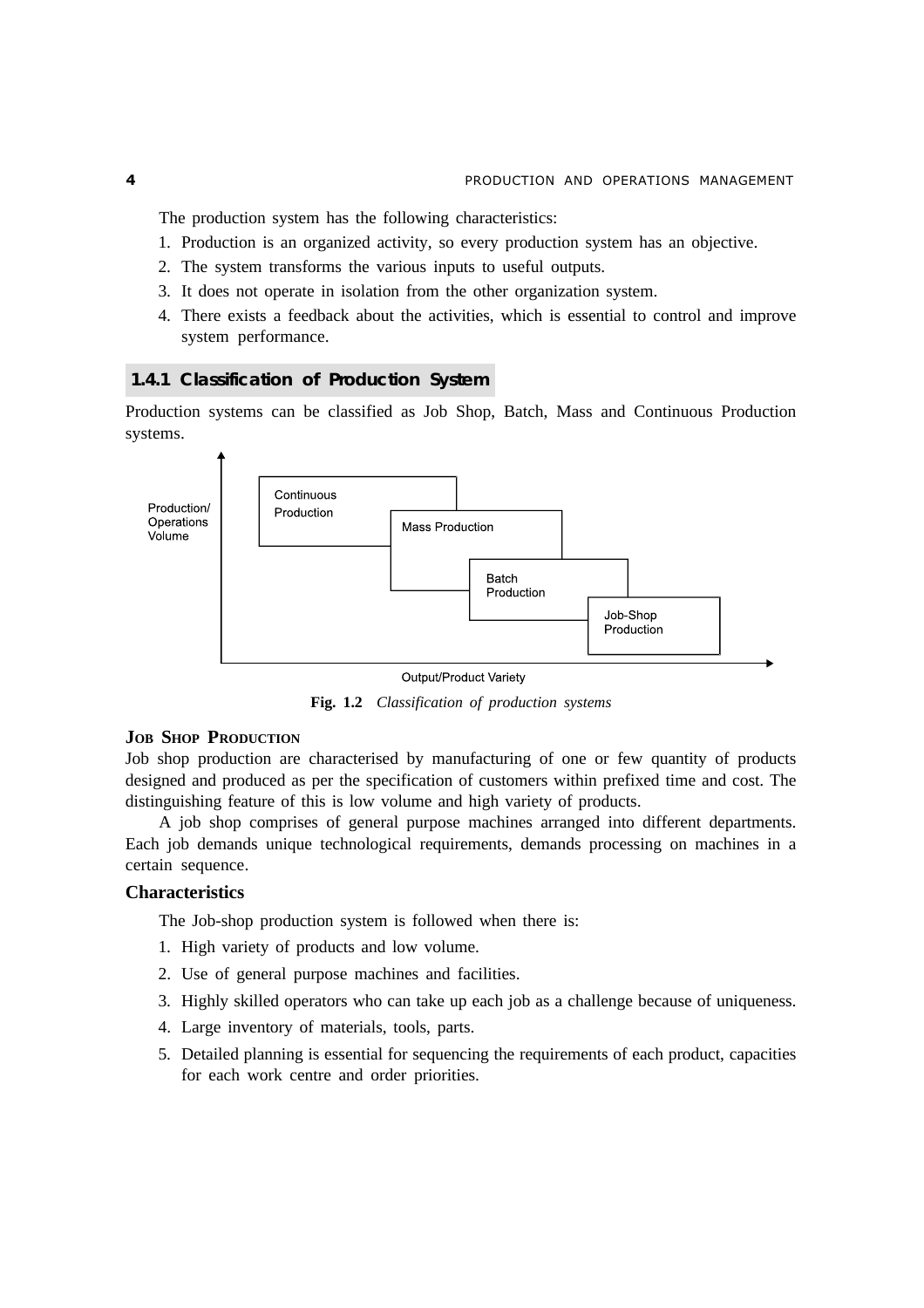The production system has the following characteristics:

- 1. Production is an organized activity, so every production system has an objective.
- 2. The system transforms the various inputs to useful outputs.
- 3. It does not operate in isolation from the other organization system.
- 4. There exists a feedback about the activities, which is essential to control and improve system performance.

#### **1.4.1 Classification of Production System**

Production systems can be classified as Job Shop, Batch, Mass and Continuous Production systems.



Output/Product Variety

**Fig. 1.2** *Classification of production systems*

#### **JOB SHOP PRODUCTION**

Job shop production are characterised by manufacturing of one or few quantity of products designed and produced as per the specification of customers within prefixed time and cost. The distinguishing feature of this is low volume and high variety of products.

A job shop comprises of general purpose machines arranged into different departments. Each job demands unique technological requirements, demands processing on machines in a certain sequence.

#### **Characteristics**

The Job-shop production system is followed when there is:

- 1. High variety of products and low volume.
- 2. Use of general purpose machines and facilities.
- 3. Highly skilled operators who can take up each job as a challenge because of uniqueness.
- 4. Large inventory of materials, tools, parts.
- 5. Detailed planning is essential for sequencing the requirements of each product, capacities for each work centre and order priorities.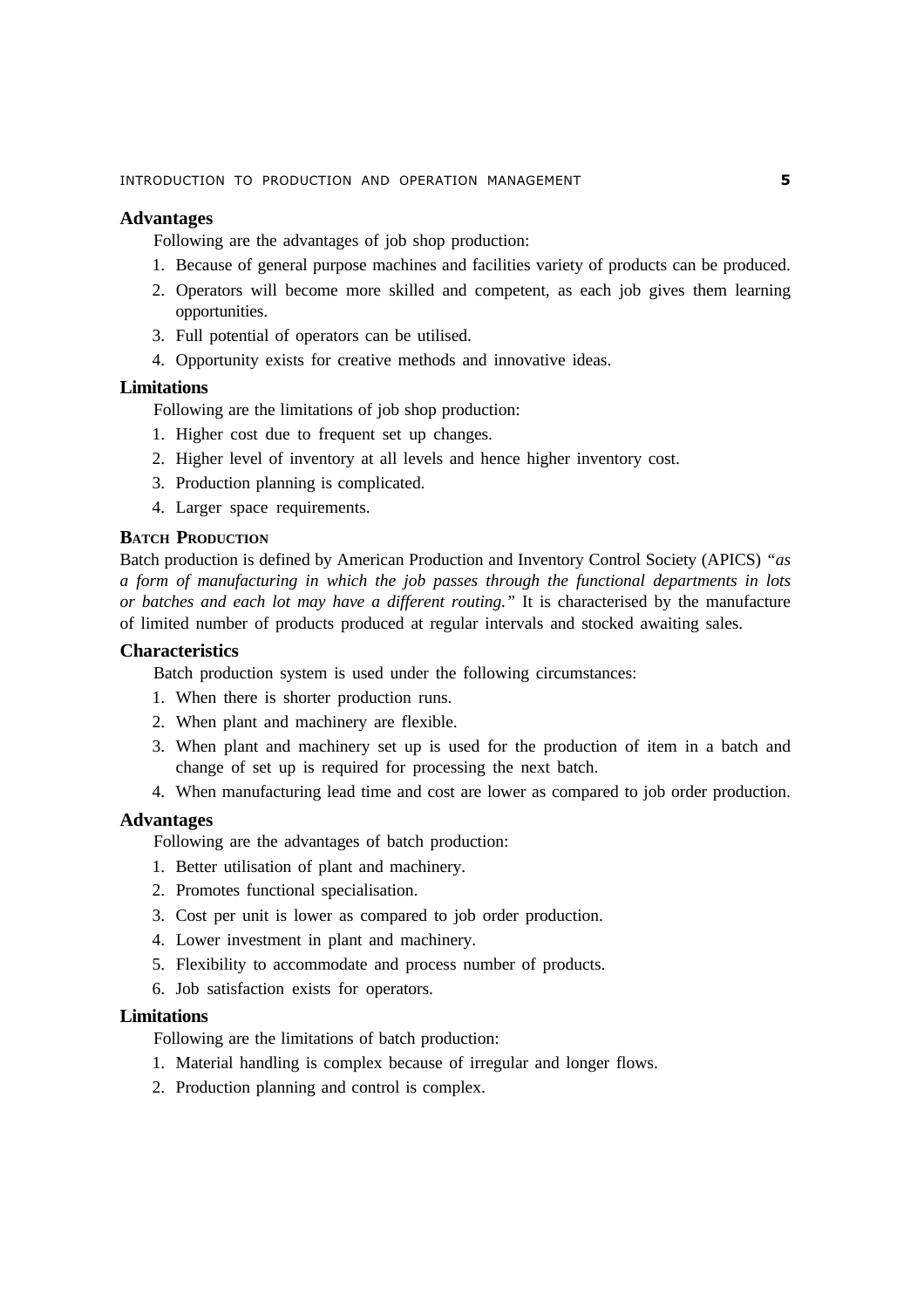#### **Advantages**

Following are the advantages of job shop production:

- 1. Because of general purpose machines and facilities variety of products can be produced.
- 2. Operators will become more skilled and competent, as each job gives them learning opportunities.
- 3. Full potential of operators can be utilised.
- 4. Opportunity exists for creative methods and innovative ideas.

#### **Limitations**

Following are the limitations of job shop production:

- 1. Higher cost due to frequent set up changes.
- 2. Higher level of inventory at all levels and hence higher inventory cost.
- 3. Production planning is complicated.
- 4. Larger space requirements.

#### **BATCH PRODUCTION**

Batch production is defined by American Production and Inventory Control Society (APICS) *"as a form of manufacturing in which the job passes through the functional departments in lots or batches and each lot may have a different routing."* It is characterised by the manufacture of limited number of products produced at regular intervals and stocked awaiting sales.

#### **Characteristics**

Batch production system is used under the following circumstances:

- 1. When there is shorter production runs.
- 2. When plant and machinery are flexible.
- 3. When plant and machinery set up is used for the production of item in a batch and change of set up is required for processing the next batch.
- 4. When manufacturing lead time and cost are lower as compared to job order production.

#### **Advantages**

Following are the advantages of batch production:

- 1. Better utilisation of plant and machinery.
- 2. Promotes functional specialisation.
- 3. Cost per unit is lower as compared to job order production.
- 4. Lower investment in plant and machinery.
- 5. Flexibility to accommodate and process number of products.
- 6. Job satisfaction exists for operators.

#### **Limitations**

Following are the limitations of batch production:

- 1. Material handling is complex because of irregular and longer flows.
- 2. Production planning and control is complex.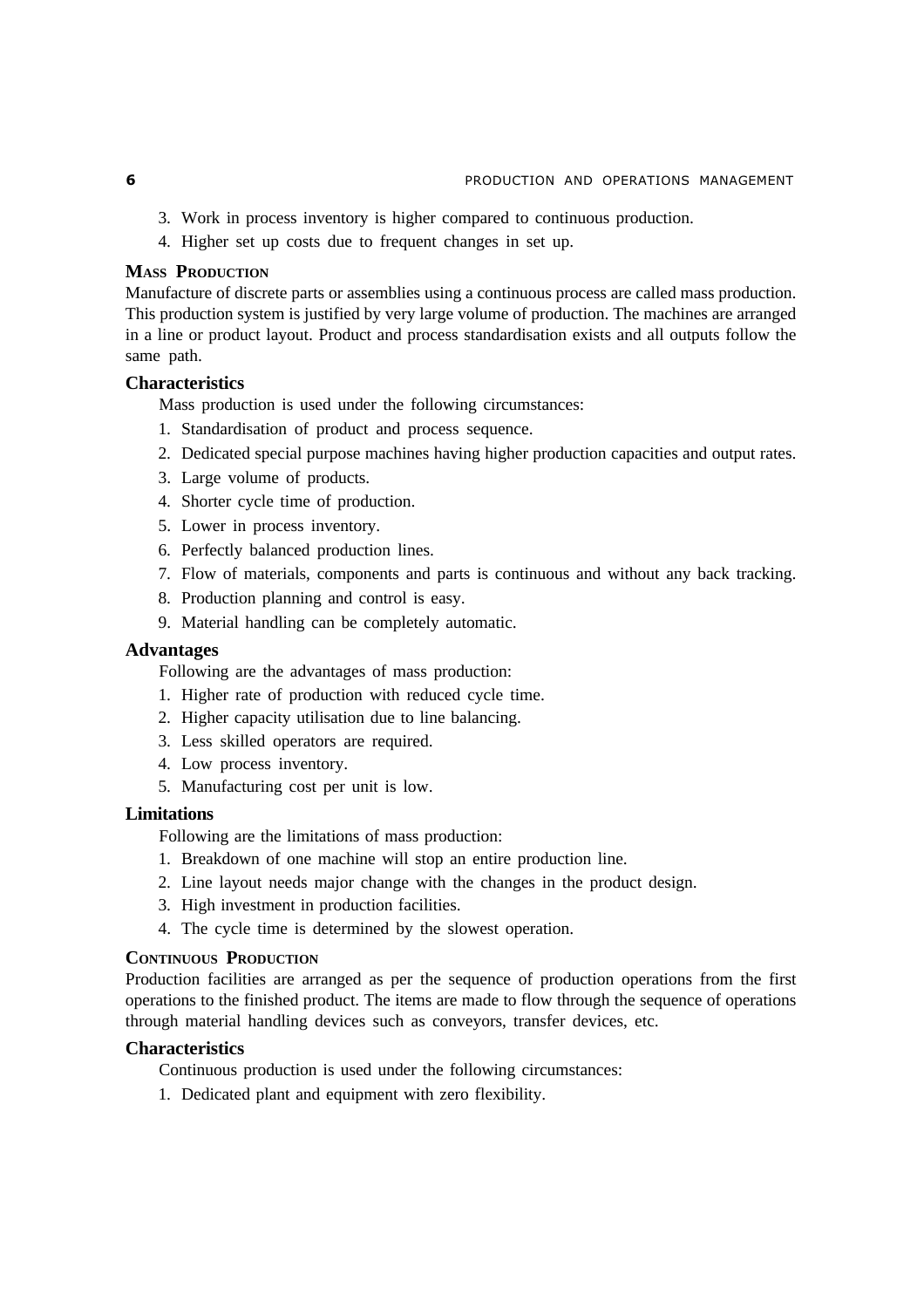- 3. Work in process inventory is higher compared to continuous production.
- 4. Higher set up costs due to frequent changes in set up.

#### **MASS PRODUCTION**

Manufacture of discrete parts or assemblies using a continuous process are called mass production. This production system is justified by very large volume of production. The machines are arranged in a line or product layout. Product and process standardisation exists and all outputs follow the same path.

#### **Characteristics**

Mass production is used under the following circumstances:

- 1. Standardisation of product and process sequence.
- 2. Dedicated special purpose machines having higher production capacities and output rates.
- 3. Large volume of products.
- 4. Shorter cycle time of production.
- 5. Lower in process inventory.
- 6. Perfectly balanced production lines.
- 7. Flow of materials, components and parts is continuous and without any back tracking.
- 8. Production planning and control is easy.
- 9. Material handling can be completely automatic.

#### **Advantages**

Following are the advantages of mass production:

- 1. Higher rate of production with reduced cycle time.
- 2. Higher capacity utilisation due to line balancing.
- 3. Less skilled operators are required.
- 4. Low process inventory.
- 5. Manufacturing cost per unit is low.

# **Limitations**

Following are the limitations of mass production:

- 1. Breakdown of one machine will stop an entire production line.
- 2. Line layout needs major change with the changes in the product design.
- 3. High investment in production facilities.
- 4. The cycle time is determined by the slowest operation.

#### **CONTINUOUS PRODUCTION**

Production facilities are arranged as per the sequence of production operations from the first operations to the finished product. The items are made to flow through the sequence of operations through material handling devices such as conveyors, transfer devices, etc.

#### **Characteristics**

Continuous production is used under the following circumstances:

1. Dedicated plant and equipment with zero flexibility.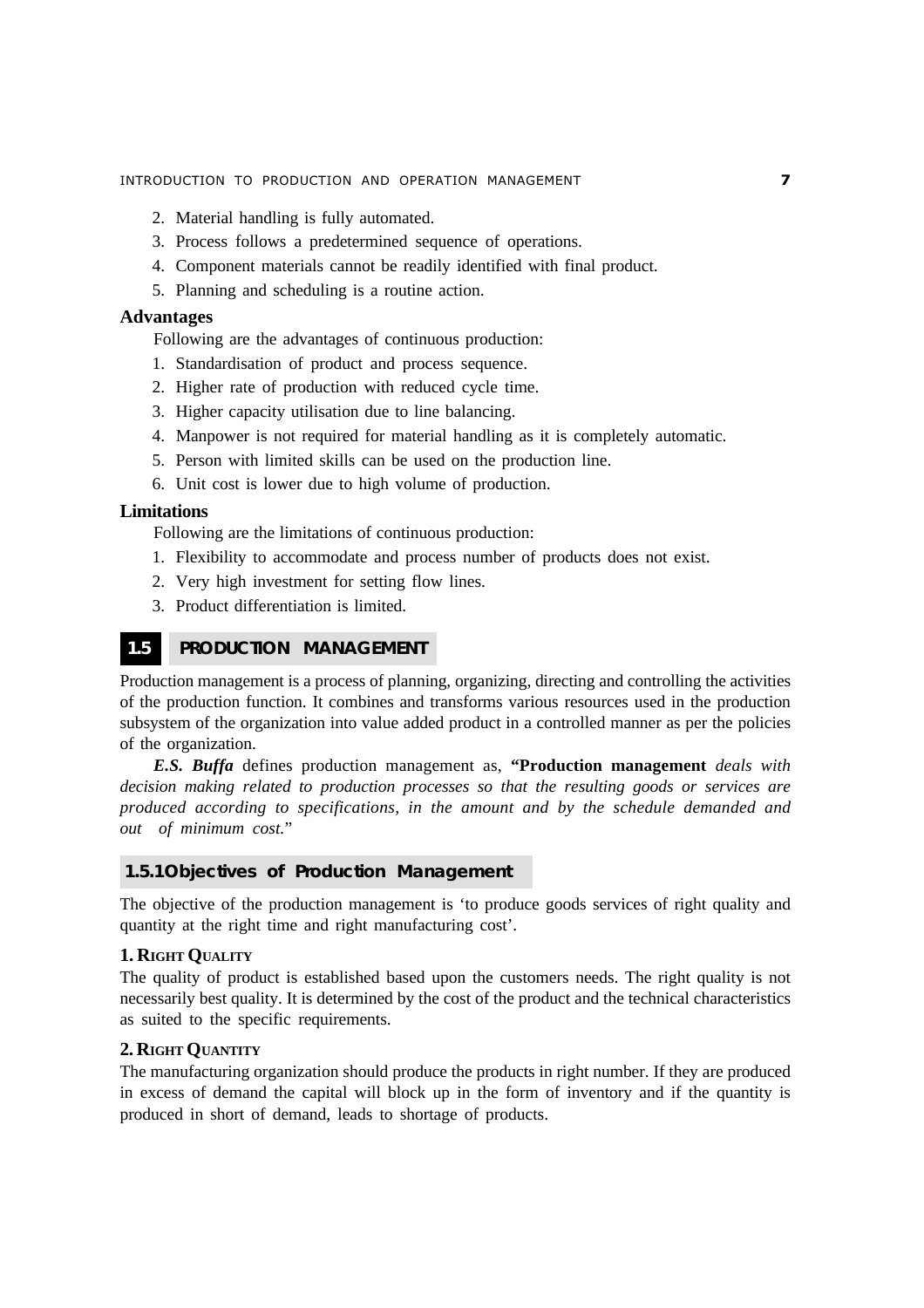- 2. Material handling is fully automated.
- 3. Process follows a predetermined sequence of operations.
- 4. Component materials cannot be readily identified with final product.
- 5. Planning and scheduling is a routine action.

# **Advantages**

Following are the advantages of continuous production:

- 1. Standardisation of product and process sequence.
- 2. Higher rate of production with reduced cycle time.
- 3. Higher capacity utilisation due to line balancing.
- 4. Manpower is not required for material handling as it is completely automatic.
- 5. Person with limited skills can be used on the production line.
- 6. Unit cost is lower due to high volume of production.

# **Limitations**

Following are the limitations of continuous production:

- 1. Flexibility to accommodate and process number of products does not exist.
- 2. Very high investment for setting flow lines.
- 3. Product differentiation is limited.

# **1.5 PRODUCTION MANAGEMENT**

Production management is a process of planning, organizing, directing and controlling the activities of the production function. It combines and transforms various resources used in the production subsystem of the organization into value added product in a controlled manner as per the policies of the organization.

*E.S. Buffa* defines production management as, **"Production management** *deals with decision making related to production processes so that the resulting goods or services are produced according to specifications, in the amount and by the schedule demanded and out of minimum cost.*"

#### **1.5.1Objectives of Production Management**

The objective of the production management is 'to produce goods services of right quality and quantity at the right time and right manufacturing cost'.

#### **1. RIGHT QUALITY**

The quality of product is established based upon the customers needs. The right quality is not necessarily best quality. It is determined by the cost of the product and the technical characteristics as suited to the specific requirements.

#### **2. RIGHT QUANTITY**

The manufacturing organization should produce the products in right number. If they are produced in excess of demand the capital will block up in the form of inventory and if the quantity is produced in short of demand, leads to shortage of products.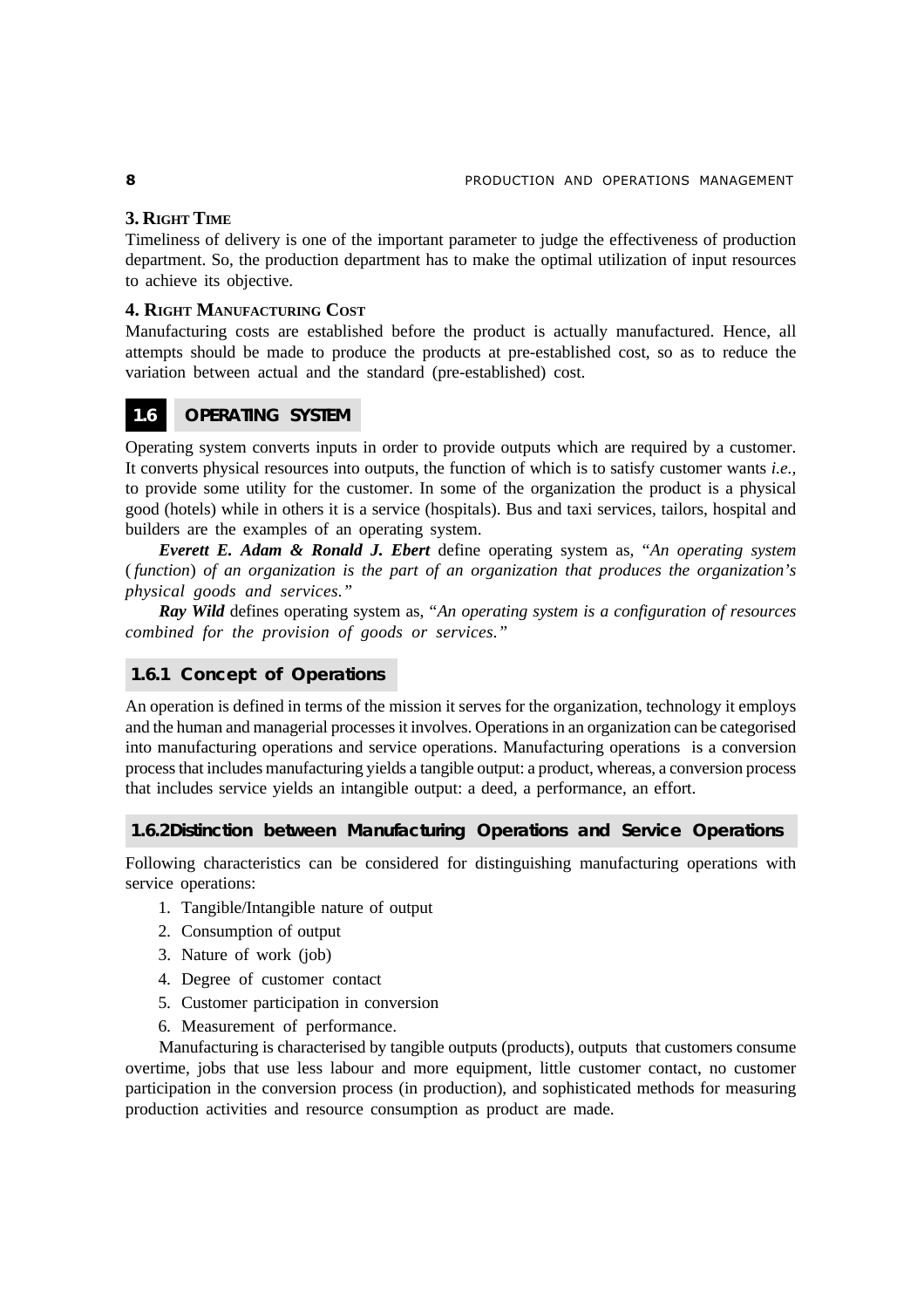#### **3. RIGHT TIME**

Timeliness of delivery is one of the important parameter to judge the effectiveness of production department. So, the production department has to make the optimal utilization of input resources to achieve its objective.

#### **4. RIGHT MANUFACTURING COST**

Manufacturing costs are established before the product is actually manufactured. Hence, all attempts should be made to produce the products at pre-established cost, so as to reduce the variation between actual and the standard (pre-established) cost.

# **1.6 OPERATING SYSTEM**

Operating system converts inputs in order to provide outputs which are required by a customer. It converts physical resources into outputs, the function of which is to satisfy customer wants *i.e.,* to provide some utility for the customer. In some of the organization the product is a physical good (hotels) while in others it is a service (hospitals). Bus and taxi services, tailors, hospital and builders are the examples of an operating system.

*Everett E. Adam & Ronald J. Ebert* define operating system as, "*An operating system* ( *function*) *of an organization is the part of an organization that produces the organization's physical goods and services."*

*Ray Wild* defines operating system as, "*An operating system is a configuration of resources combined for the provision of goods or services."*

#### **1.6.1 Concept of Operations**

An operation is defined in terms of the mission it serves for the organization, technology it employs and the human and managerial processes it involves. Operations in an organization can be categorised into manufacturing operations and service operations. Manufacturing operations is a conversion process that includes manufacturing yields a tangible output: a product, whereas, a conversion process that includes service yields an intangible output: a deed, a performance, an effort.

#### **1.6.2Distinction between Manufacturing Operations and Service Operations**

Following characteristics can be considered for distinguishing manufacturing operations with service operations:

- 1. Tangible/Intangible nature of output
- 2. Consumption of output
- 3. Nature of work (job)
- 4. Degree of customer contact
- 5. Customer participation in conversion
- 6. Measurement of performance.

Manufacturing is characterised by tangible outputs (products), outputs that customers consume overtime, jobs that use less labour and more equipment, little customer contact, no customer participation in the conversion process (in production), and sophisticated methods for measuring production activities and resource consumption as product are made.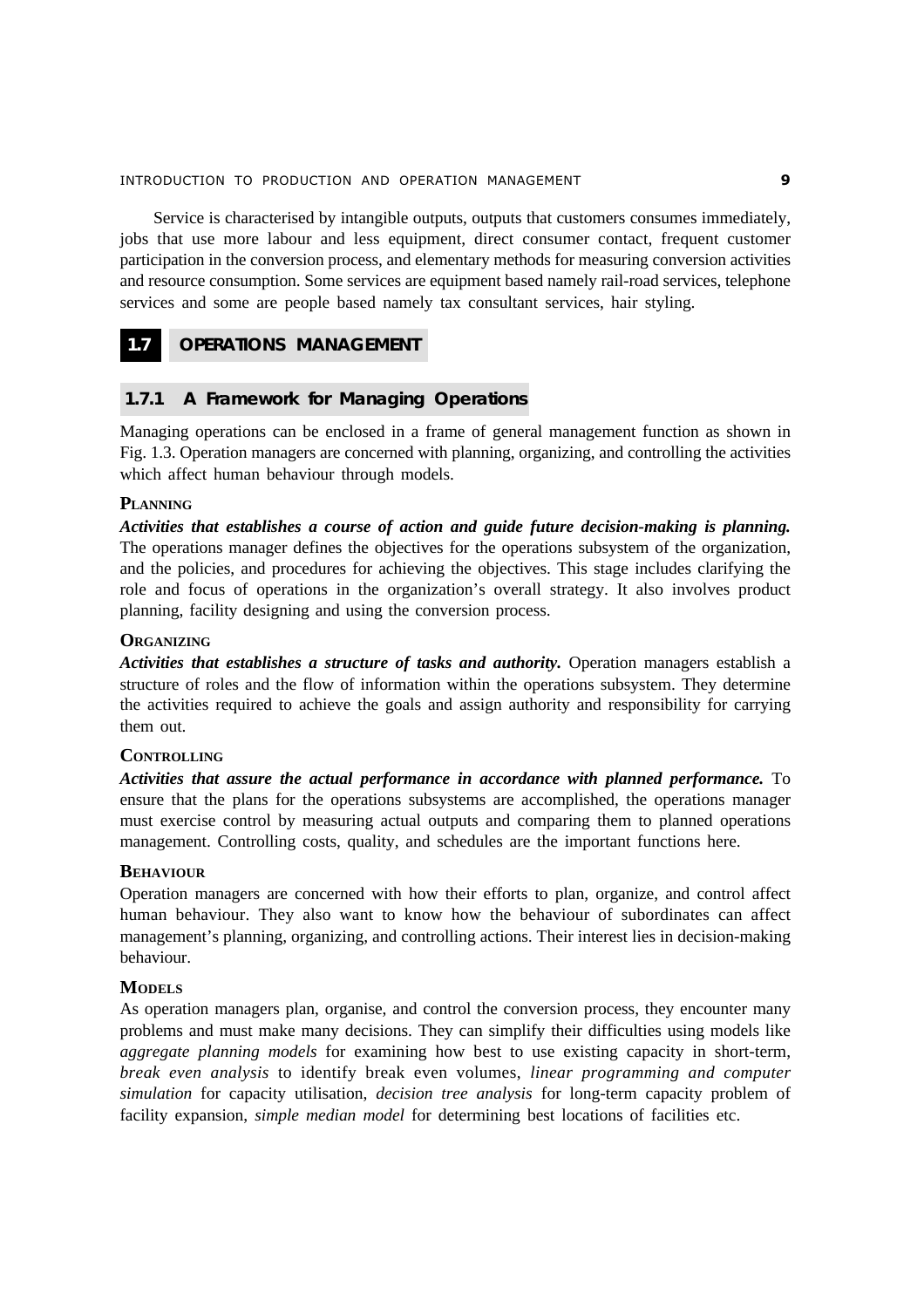Service is characterised by intangible outputs, outputs that customers consumes immediately, jobs that use more labour and less equipment, direct consumer contact, frequent customer participation in the conversion process, and elementary methods for measuring conversion activities and resource consumption. Some services are equipment based namely rail-road services, telephone services and some are people based namely tax consultant services, hair styling.

# **1.7 OPERATIONS MANAGEMENT**

# **1.7.1 A Framework for Managing Operations**

Managing operations can be enclosed in a frame of general management function as shown in Fig. 1.3. Operation managers are concerned with planning, organizing, and controlling the activities which affect human behaviour through models.

#### **PLANNING**

*Activities that establishes a course of action and guide future decision-making is planning.* The operations manager defines the objectives for the operations subsystem of the organization, and the policies, and procedures for achieving the objectives. This stage includes clarifying the role and focus of operations in the organization's overall strategy. It also involves product planning, facility designing and using the conversion process.

#### **ORGANIZING**

*Activities that establishes a structure of tasks and authority.* Operation managers establish a structure of roles and the flow of information within the operations subsystem. They determine the activities required to achieve the goals and assign authority and responsibility for carrying them out.

#### **CONTROLLING**

*Activities that assure the actual performance in accordance with planned performance.* To ensure that the plans for the operations subsystems are accomplished, the operations manager must exercise control by measuring actual outputs and comparing them to planned operations management. Controlling costs, quality, and schedules are the important functions here.

#### **BEHAVIOUR**

Operation managers are concerned with how their efforts to plan, organize, and control affect human behaviour. They also want to know how the behaviour of subordinates can affect management's planning, organizing, and controlling actions. Their interest lies in decision-making behaviour.

#### **MODELS**

As operation managers plan, organise, and control the conversion process, they encounter many problems and must make many decisions. They can simplify their difficulties using models like *aggregate planning models* for examining how best to use existing capacity in short-term, *break even analysis* to identify break even volumes, *linear programming and computer simulation* for capacity utilisation, *decision tree analysis* for long-term capacity problem of facility expansion, *simple median model* for determining best locations of facilities etc.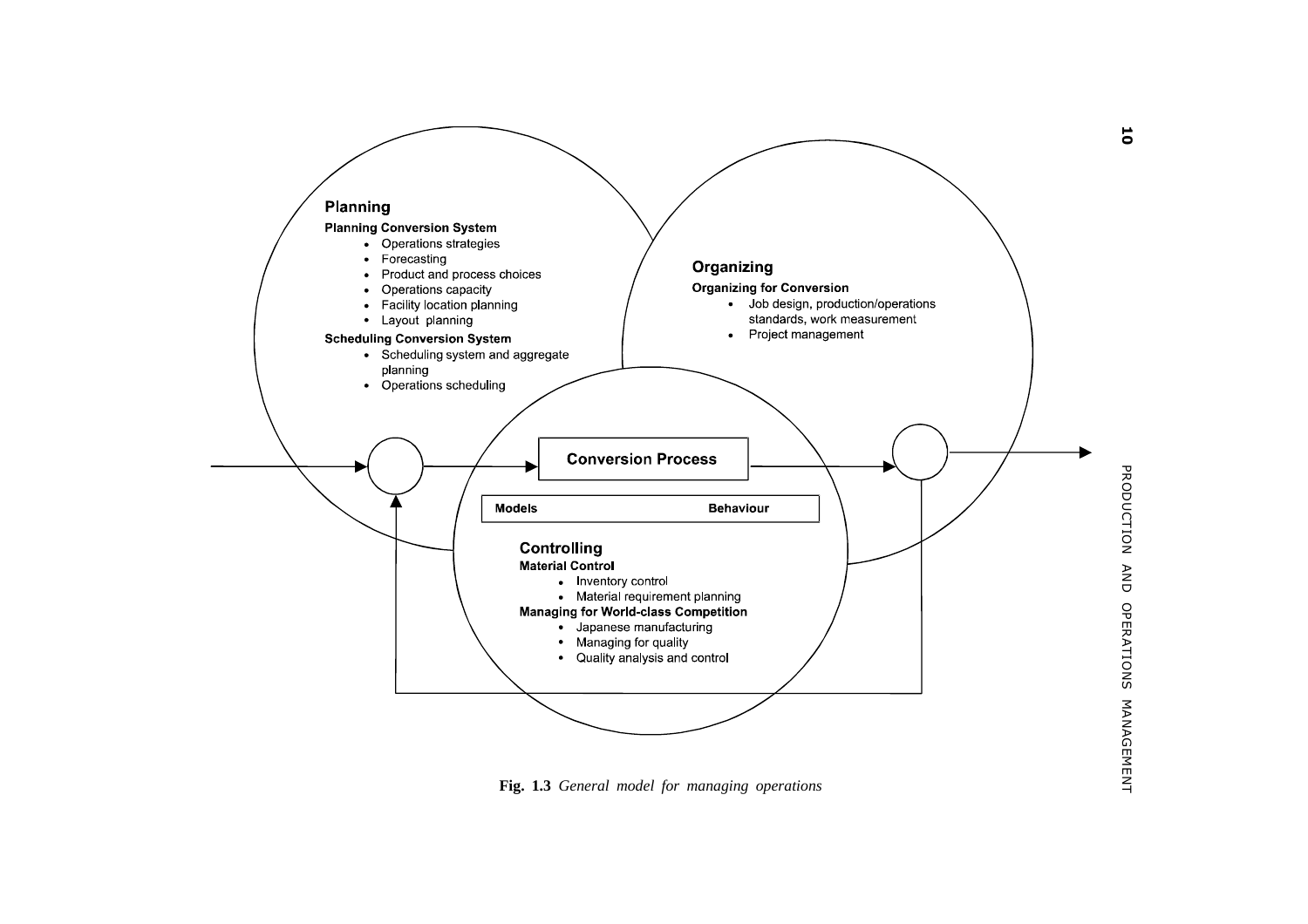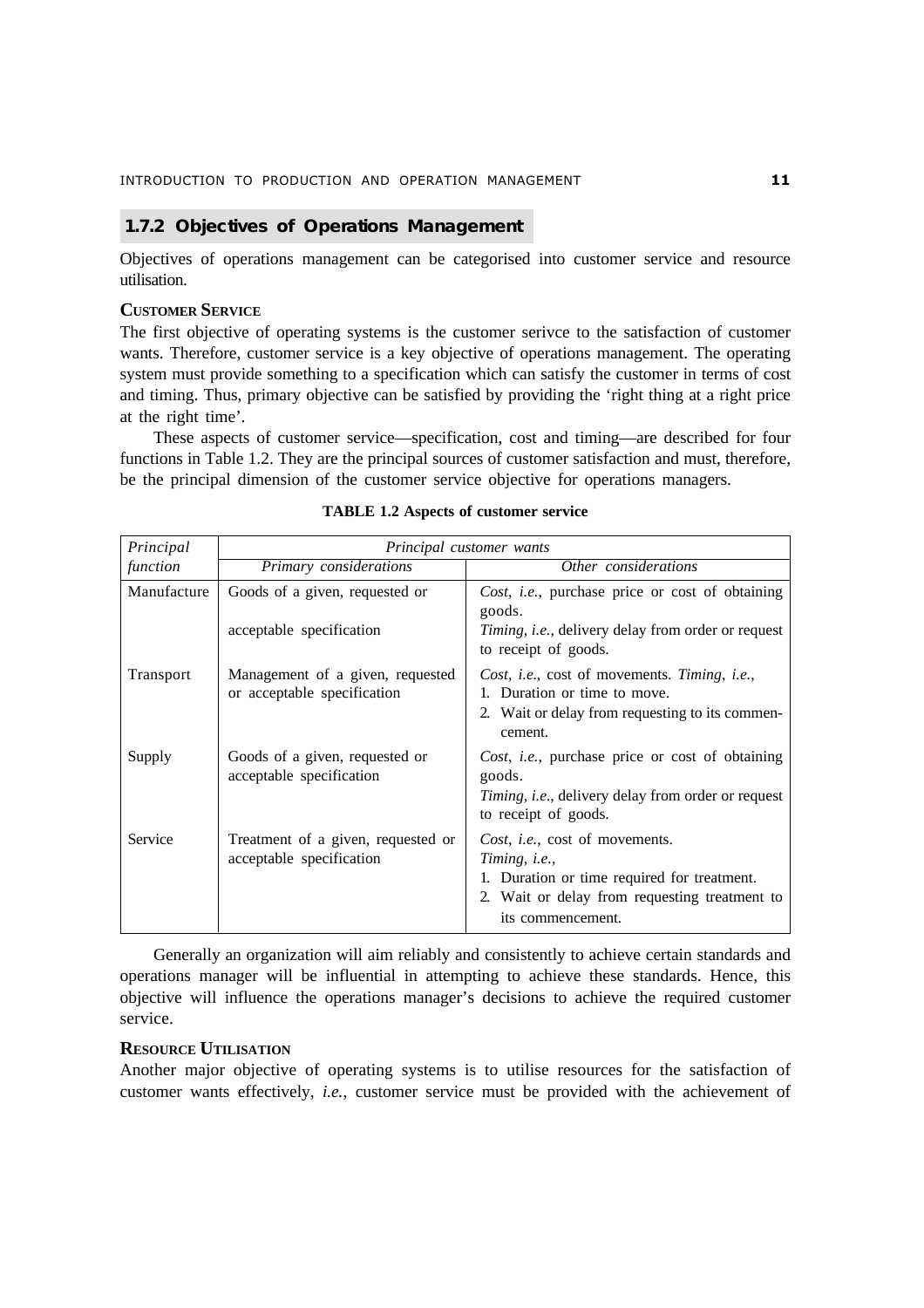#### **1.7.2 Objectives of Operations Management**

Objectives of operations management can be categorised into customer service and resource utilisation.

#### **CUSTOMER SERVICE**

The first objective of operating systems is the customer serivce to the satisfaction of customer wants. Therefore, customer service is a key objective of operations management. The operating system must provide something to a specification which can satisfy the customer in terms of cost and timing. Thus, primary objective can be satisfied by providing the 'right thing at a right price at the right time'.

These aspects of customer service—specification, cost and timing—are described for four functions in Table 1.2. They are the principal sources of customer satisfaction and must, therefore, be the principal dimension of the customer service objective for operations managers.

| Principal   | Principal customer wants                                        |                                                                                                                                                                                      |
|-------------|-----------------------------------------------------------------|--------------------------------------------------------------------------------------------------------------------------------------------------------------------------------------|
| function    | Primary considerations                                          | Other considerations                                                                                                                                                                 |
| Manufacture | Goods of a given, requested or                                  | <i>Cost, i.e., purchase price or cost of obtaining</i>                                                                                                                               |
|             | acceptable specification                                        | goods.<br><i>Timing, i.e., delivery delay from order or request</i><br>to receipt of goods.                                                                                          |
| Transport   | Management of a given, requested<br>or acceptable specification | Cost, i.e., cost of movements. Timing, i.e.,<br>1. Duration or time to move.<br>2. Wait or delay from requesting to its commen-<br>cement.                                           |
| Supply      | Goods of a given, requested or<br>acceptable specification      | <i>Cost, i.e., purchase price or cost of obtaining</i><br>goods.<br>Timing, i.e., delivery delay from order or request<br>to receipt of goods.                                       |
| Service     | Treatment of a given, requested or<br>acceptable specification  | Cost, <i>i.e.</i> , cost of movements.<br>Timing, <i>i.e.</i> ,<br>1. Duration or time required for treatment.<br>2. Wait or delay from requesting treatment to<br>its commencement. |

#### **TABLE 1.2 Aspects of customer service**

Generally an organization will aim reliably and consistently to achieve certain standards and operations manager will be influential in attempting to achieve these standards. Hence, this objective will influence the operations manager's decisions to achieve the required customer service.

#### **RESOURCE UTILISATION**

Another major objective of operating systems is to utilise resources for the satisfaction of customer wants effectively, *i.e.*, customer service must be provided with the achievement of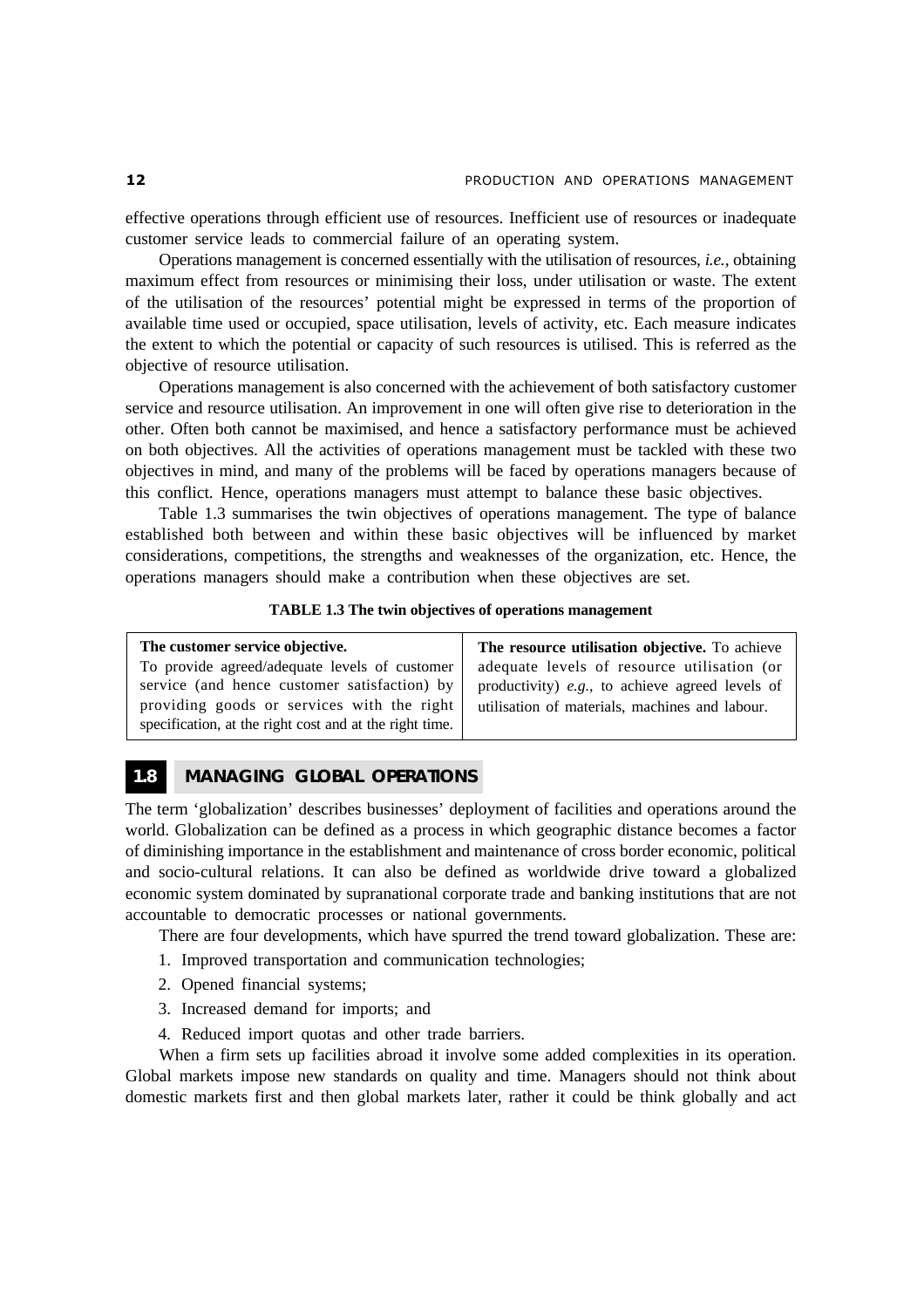effective operations through efficient use of resources. Inefficient use of resources or inadequate customer service leads to commercial failure of an operating system.

Operations management is concerned essentially with the utilisation of resources, *i.e.*, obtaining maximum effect from resources or minimising their loss, under utilisation or waste. The extent of the utilisation of the resources' potential might be expressed in terms of the proportion of available time used or occupied, space utilisation, levels of activity, etc. Each measure indicates the extent to which the potential or capacity of such resources is utilised. This is referred as the objective of resource utilisation.

Operations management is also concerned with the achievement of both satisfactory customer service and resource utilisation. An improvement in one will often give rise to deterioration in the other. Often both cannot be maximised, and hence a satisfactory performance must be achieved on both objectives. All the activities of operations management must be tackled with these two objectives in mind, and many of the problems will be faced by operations managers because of this conflict. Hence, operations managers must attempt to balance these basic objectives.

Table 1.3 summarises the twin objectives of operations management. The type of balance established both between and within these basic objectives will be influenced by market considerations, competitions, the strengths and weaknesses of the organization, etc. Hence, the operations managers should make a contribution when these objectives are set.

#### **TABLE 1.3 The twin objectives of operations management**

| The customer service objective.                         | The resource utilisation objective. To achieve    |
|---------------------------------------------------------|---------------------------------------------------|
| To provide agreed/adequate levels of customer           | adequate levels of resource utilisation (or       |
| service (and hence customer satisfaction) by            | productivity) $e.g.,$ to achieve agreed levels of |
| providing goods or services with the right              | utilisation of materials, machines and labour.    |
| specification, at the right cost and at the right time. |                                                   |

# **1.8 MANAGING GLOBAL OPERATIONS**

The term 'globalization' describes businesses' deployment of facilities and operations around the world. Globalization can be defined as a process in which geographic distance becomes a factor of diminishing importance in the establishment and maintenance of cross border economic, political and socio-cultural relations. It can also be defined as worldwide drive toward a globalized economic system dominated by supranational corporate trade and banking institutions that are not accountable to democratic processes or national governments.

There are four developments, which have spurred the trend toward globalization. These are:

- 1. Improved transportation and communication technologies;
- 2. Opened financial systems;
- 3. Increased demand for imports; and
- 4. Reduced import quotas and other trade barriers.

When a firm sets up facilities abroad it involve some added complexities in its operation. Global markets impose new standards on quality and time. Managers should not think about domestic markets first and then global markets later, rather it could be think globally and act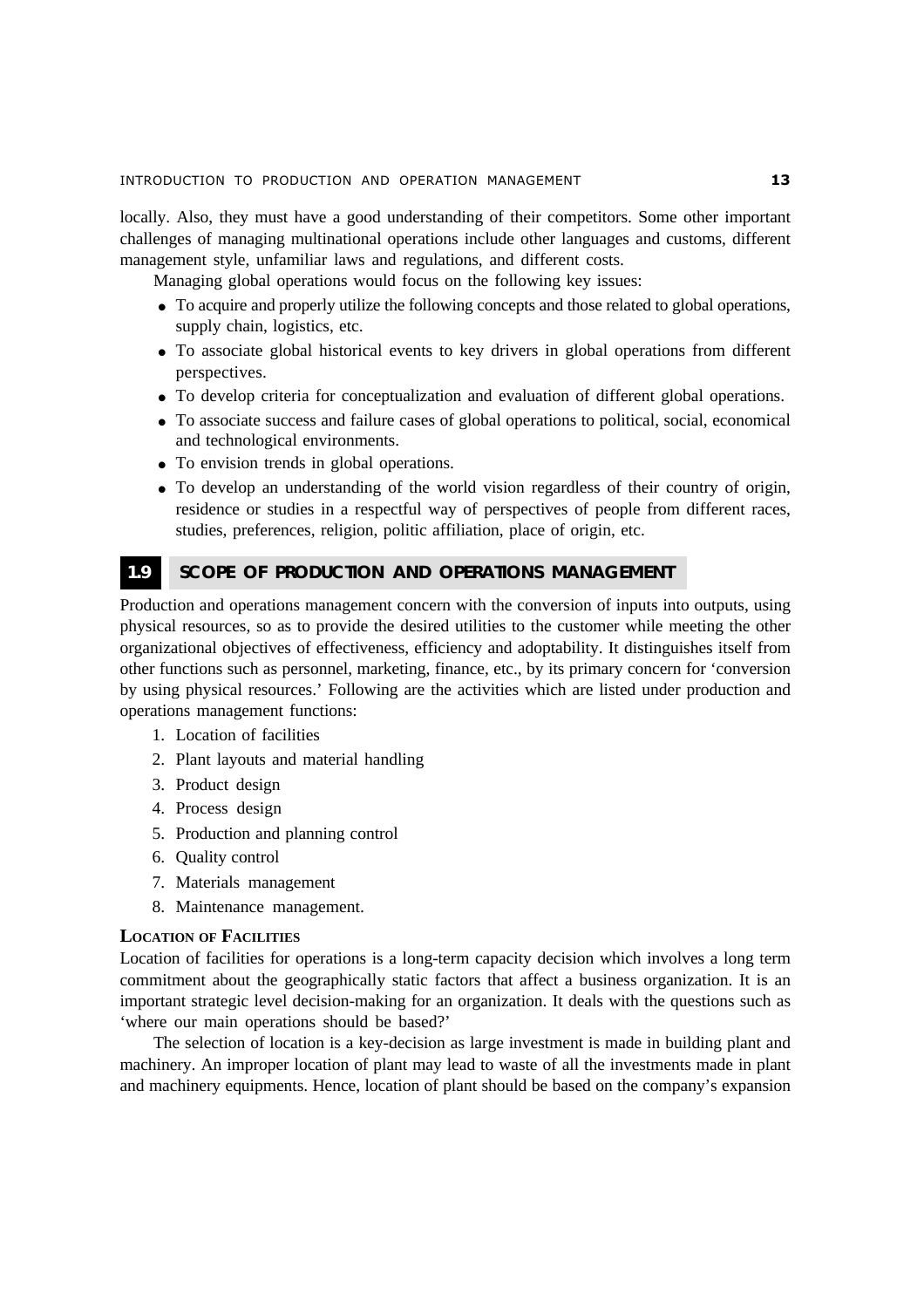locally. Also, they must have a good understanding of their competitors. Some other important challenges of managing multinational operations include other languages and customs, different management style, unfamiliar laws and regulations, and different costs.

Managing global operations would focus on the following key issues:

- To acquire and properly utilize the following concepts and those related to global operations, supply chain, logistics, etc.
- To associate global historical events to key drivers in global operations from different perspectives.
- To develop criteria for conceptualization and evaluation of different global operations.
- To associate success and failure cases of global operations to political, social, economical and technological environments.
- To envision trends in global operations.
- To develop an understanding of the world vision regardless of their country of origin, residence or studies in a respectful way of perspectives of people from different races, studies, preferences, religion, politic affiliation, place of origin, etc.

# **1.9 SCOPE OF PRODUCTION AND OPERATIONS MANAGEMENT**

Production and operations management concern with the conversion of inputs into outputs, using physical resources, so as to provide the desired utilities to the customer while meeting the other organizational objectives of effectiveness, efficiency and adoptability. It distinguishes itself from other functions such as personnel, marketing, finance, etc., by its primary concern for 'conversion by using physical resources.' Following are the activities which are listed under production and operations management functions:

- 1. Location of facilities
- 2. Plant layouts and material handling
- 3. Product design
- 4. Process design
- 5. Production and planning control
- 6. Quality control
- 7. Materials management
- 8. Maintenance management.

#### **LOCATION OF FACILITIES**

Location of facilities for operations is a long-term capacity decision which involves a long term commitment about the geographically static factors that affect a business organization. It is an important strategic level decision-making for an organization. It deals with the questions such as 'where our main operations should be based?'

The selection of location is a key-decision as large investment is made in building plant and machinery. An improper location of plant may lead to waste of all the investments made in plant and machinery equipments. Hence, location of plant should be based on the company's expansion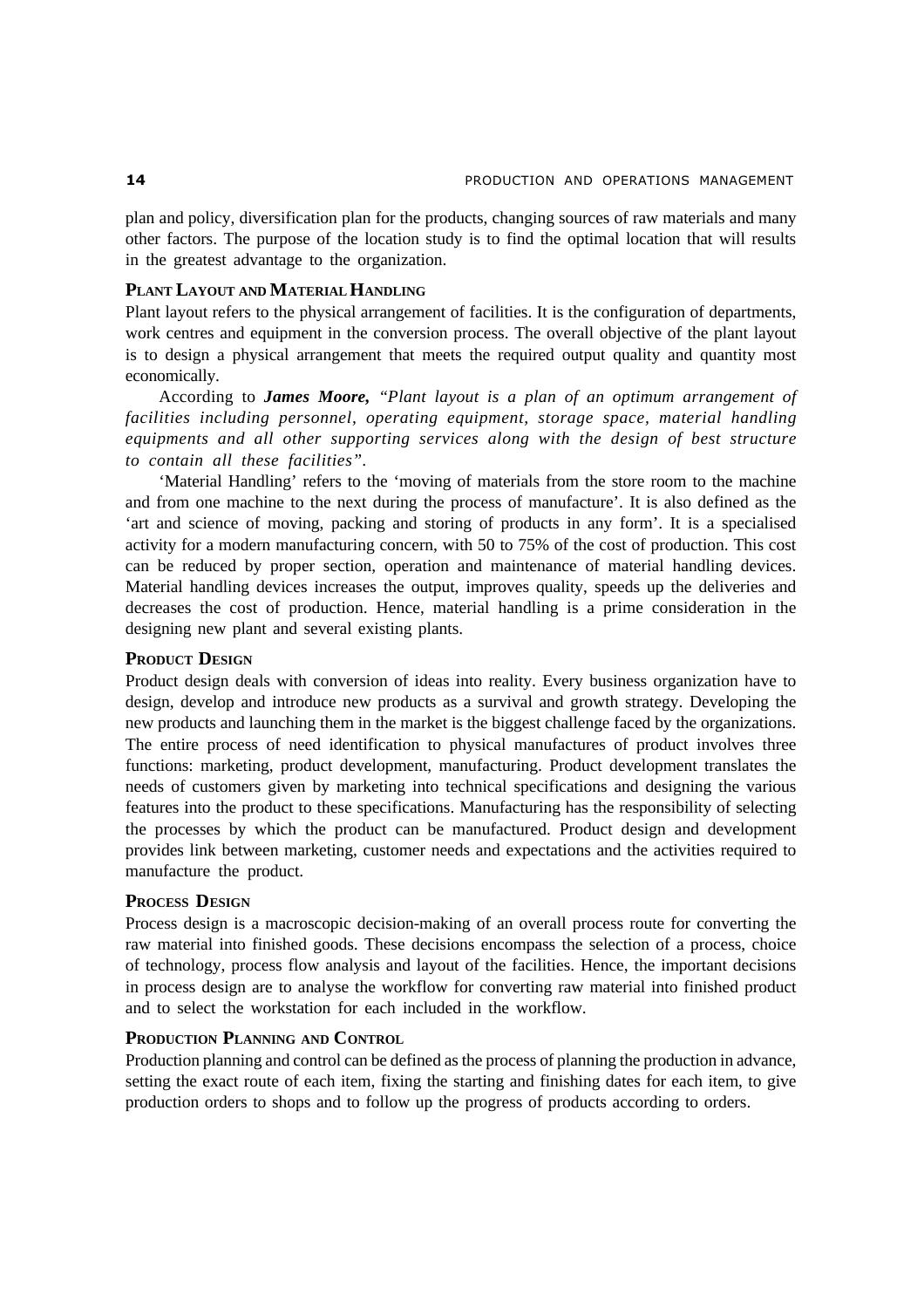plan and policy, diversification plan for the products, changing sources of raw materials and many other factors. The purpose of the location study is to find the optimal location that will results in the greatest advantage to the organization.

#### **PLANT LAYOUT AND MATERIAL HANDLING**

Plant layout refers to the physical arrangement of facilities. It is the configuration of departments, work centres and equipment in the conversion process. The overall objective of the plant layout is to design a physical arrangement that meets the required output quality and quantity most economically.

According to *James Moore, "Plant layout is a plan of an optimum arrangement of facilities including personnel, operating equipment, storage space, material handling equipments and all other supporting services along with the design of best structure to contain all these facilities".*

'Material Handling' refers to the 'moving of materials from the store room to the machine and from one machine to the next during the process of manufacture'. It is also defined as the 'art and science of moving, packing and storing of products in any form'. It is a specialised activity for a modern manufacturing concern, with 50 to 75% of the cost of production. This cost can be reduced by proper section, operation and maintenance of material handling devices. Material handling devices increases the output, improves quality, speeds up the deliveries and decreases the cost of production. Hence, material handling is a prime consideration in the designing new plant and several existing plants.

#### **PRODUCT DESIGN**

Product design deals with conversion of ideas into reality. Every business organization have to design, develop and introduce new products as a survival and growth strategy. Developing the new products and launching them in the market is the biggest challenge faced by the organizations. The entire process of need identification to physical manufactures of product involves three functions: marketing, product development, manufacturing. Product development translates the needs of customers given by marketing into technical specifications and designing the various features into the product to these specifications. Manufacturing has the responsibility of selecting the processes by which the product can be manufactured. Product design and development provides link between marketing, customer needs and expectations and the activities required to manufacture the product.

#### **PROCESS DESIGN**

Process design is a macroscopic decision-making of an overall process route for converting the raw material into finished goods. These decisions encompass the selection of a process, choice of technology, process flow analysis and layout of the facilities. Hence, the important decisions in process design are to analyse the workflow for converting raw material into finished product and to select the workstation for each included in the workflow.

#### **PRODUCTION PLANNING AND CONTROL**

Production planning and control can be defined as the process of planning the production in advance, setting the exact route of each item, fixing the starting and finishing dates for each item, to give production orders to shops and to follow up the progress of products according to orders.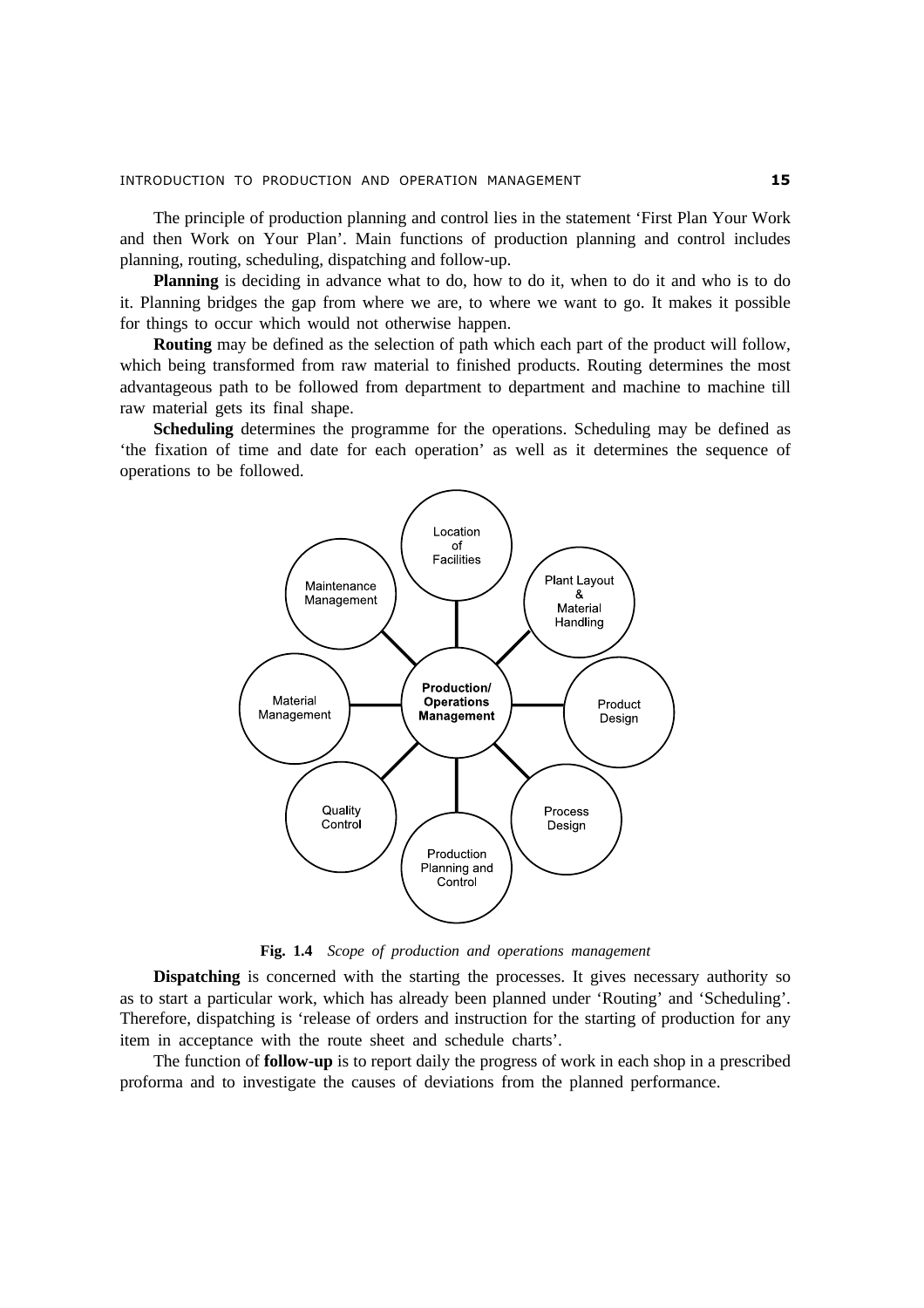The principle of production planning and control lies in the statement 'First Plan Your Work and then Work on Your Plan'. Main functions of production planning and control includes planning, routing, scheduling, dispatching and follow-up.

**Planning** is deciding in advance what to do, how to do it, when to do it and who is to do it. Planning bridges the gap from where we are, to where we want to go. It makes it possible for things to occur which would not otherwise happen.

**Routing** may be defined as the selection of path which each part of the product will follow, which being transformed from raw material to finished products. Routing determines the most advantageous path to be followed from department to department and machine to machine till raw material gets its final shape.

**Scheduling** determines the programme for the operations. Scheduling may be defined as 'the fixation of time and date for each operation' as well as it determines the sequence of operations to be followed.



**Fig. 1.4** *Scope of production and operations management*

**Dispatching** is concerned with the starting the processes. It gives necessary authority so as to start a particular work, which has already been planned under 'Routing' and 'Scheduling'. Therefore, dispatching is 'release of orders and instruction for the starting of production for any item in acceptance with the route sheet and schedule charts'.

The function of **follow-up** is to report daily the progress of work in each shop in a prescribed proforma and to investigate the causes of deviations from the planned performance.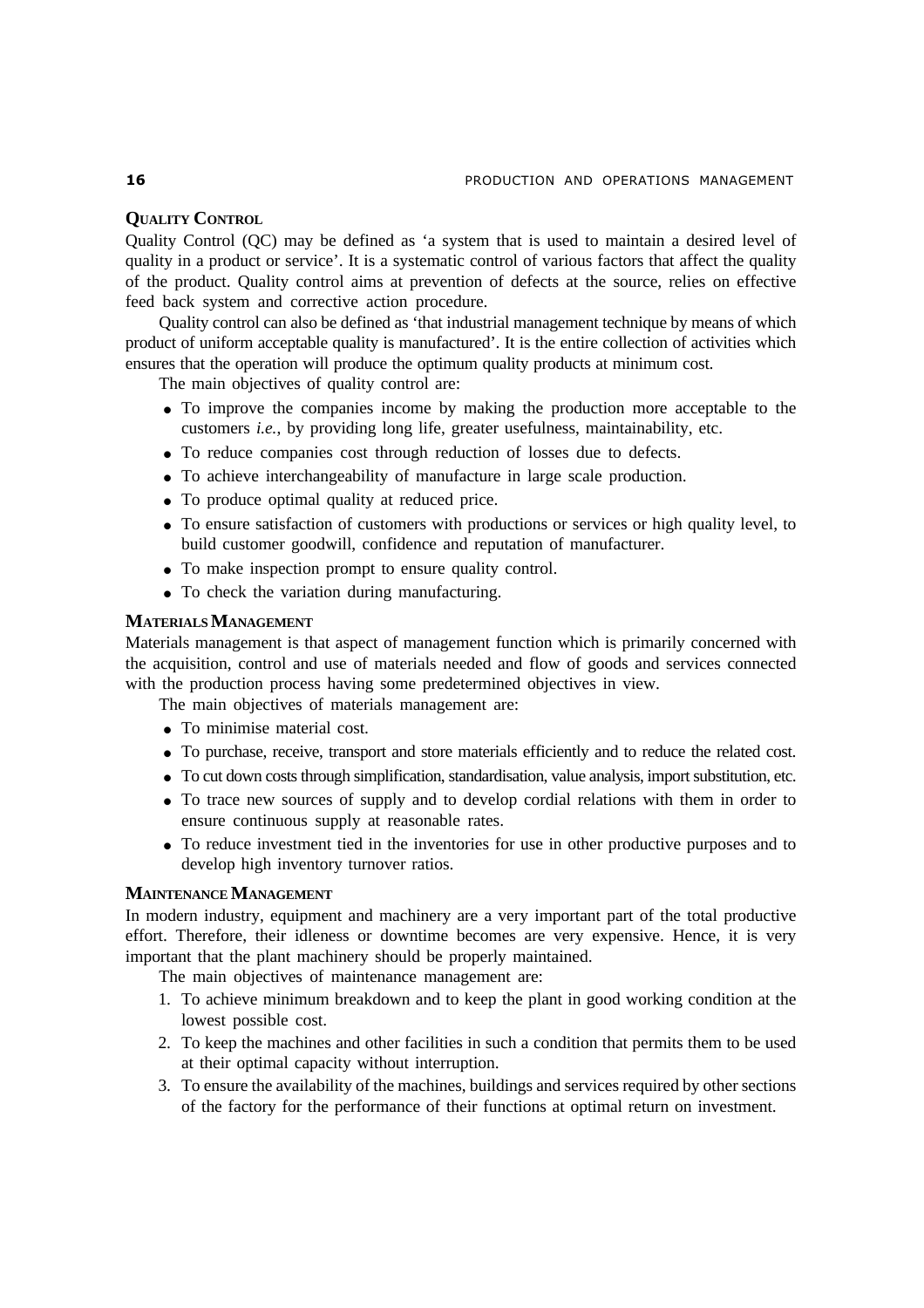#### **QUALITY CONTROL**

Quality Control (QC) may be defined as 'a system that is used to maintain a desired level of quality in a product or service'. It is a systematic control of various factors that affect the quality of the product. Quality control aims at prevention of defects at the source, relies on effective feed back system and corrective action procedure.

Quality control can also be defined as 'that industrial management technique by means of which product of uniform acceptable quality is manufactured'. It is the entire collection of activities which ensures that the operation will produce the optimum quality products at minimum cost.

The main objectives of quality control are:

- To improve the companies income by making the production more acceptable to the customers *i.e.*, by providing long life, greater usefulness, maintainability, etc.
- To reduce companies cost through reduction of losses due to defects.
- To achieve interchangeability of manufacture in large scale production.
- To produce optimal quality at reduced price.
- To ensure satisfaction of customers with productions or services or high quality level, to build customer goodwill, confidence and reputation of manufacturer.
- To make inspection prompt to ensure quality control.
- To check the variation during manufacturing.

#### **MATERIALS MANAGEMENT**

Materials management is that aspect of management function which is primarily concerned with the acquisition, control and use of materials needed and flow of goods and services connected with the production process having some predetermined objectives in view.

The main objectives of materials management are:

- To minimise material cost.
- To purchase, receive, transport and store materials efficiently and to reduce the related cost.
- To cut down costs through simplification, standardisation, value analysis, import substitution, etc.
- To trace new sources of supply and to develop cordial relations with them in order to ensure continuous supply at reasonable rates.
- To reduce investment tied in the inventories for use in other productive purposes and to develop high inventory turnover ratios.

#### **MAINTENANCE MANAGEMENT**

In modern industry, equipment and machinery are a very important part of the total productive effort. Therefore, their idleness or downtime becomes are very expensive. Hence, it is very important that the plant machinery should be properly maintained.

The main objectives of maintenance management are:

- 1. To achieve minimum breakdown and to keep the plant in good working condition at the lowest possible cost.
- 2. To keep the machines and other facilities in such a condition that permits them to be used at their optimal capacity without interruption.
- 3. To ensure the availability of the machines, buildings and services required by other sections of the factory for the performance of their functions at optimal return on investment.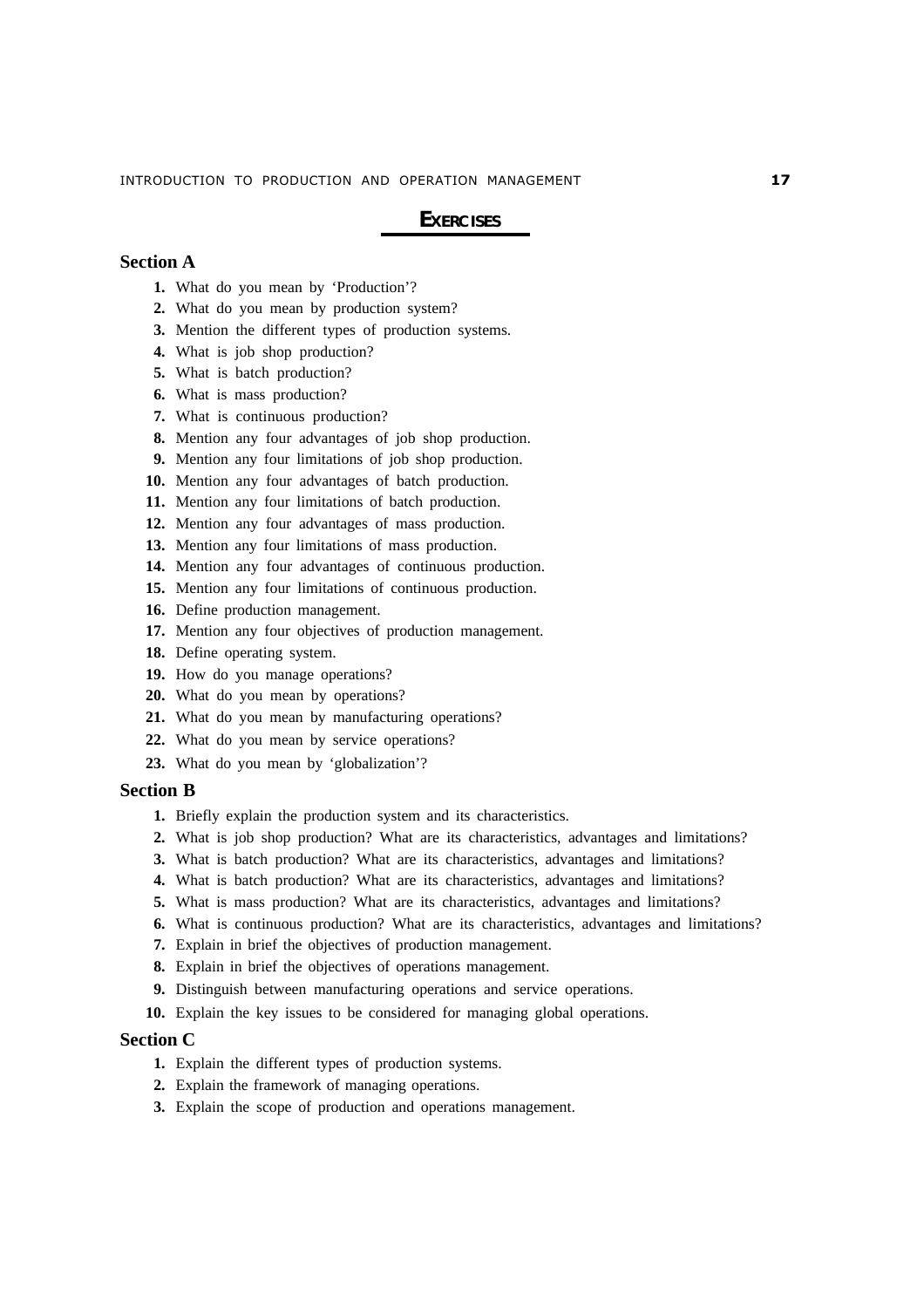## **EXERCISES**

### **Section A**

- **1.** What do you mean by 'Production'?
- **2.** What do you mean by production system?
- **3.** Mention the different types of production systems.
- **4.** What is job shop production?
- **5.** What is batch production?
- **6.** What is mass production?
- **7.** What is continuous production?
- **8.** Mention any four advantages of job shop production.
- **9.** Mention any four limitations of job shop production.
- **10.** Mention any four advantages of batch production.
- **11.** Mention any four limitations of batch production.
- **12.** Mention any four advantages of mass production.
- **13.** Mention any four limitations of mass production.
- **14.** Mention any four advantages of continuous production.
- **15.** Mention any four limitations of continuous production.
- **16.** Define production management.
- **17.** Mention any four objectives of production management.
- **18.** Define operating system.
- **19.** How do you manage operations?
- **20.** What do you mean by operations?
- **21.** What do you mean by manufacturing operations?
- **22.** What do you mean by service operations?
- **23.** What do you mean by 'globalization'?

#### **Section B**

- **1.** Briefly explain the production system and its characteristics.
- **2.** What is job shop production? What are its characteristics, advantages and limitations?
- **3.** What is batch production? What are its characteristics, advantages and limitations?
- **4.** What is batch production? What are its characteristics, advantages and limitations?
- **5.** What is mass production? What are its characteristics, advantages and limitations?
- **6.** What is continuous production? What are its characteristics, advantages and limitations?
- **7.** Explain in brief the objectives of production management.
- **8.** Explain in brief the objectives of operations management.
- **9.** Distinguish between manufacturing operations and service operations.
- **10.** Explain the key issues to be considered for managing global operations.

#### **Section C**

- **1.** Explain the different types of production systems.
- **2.** Explain the framework of managing operations.
- **3.** Explain the scope of production and operations management.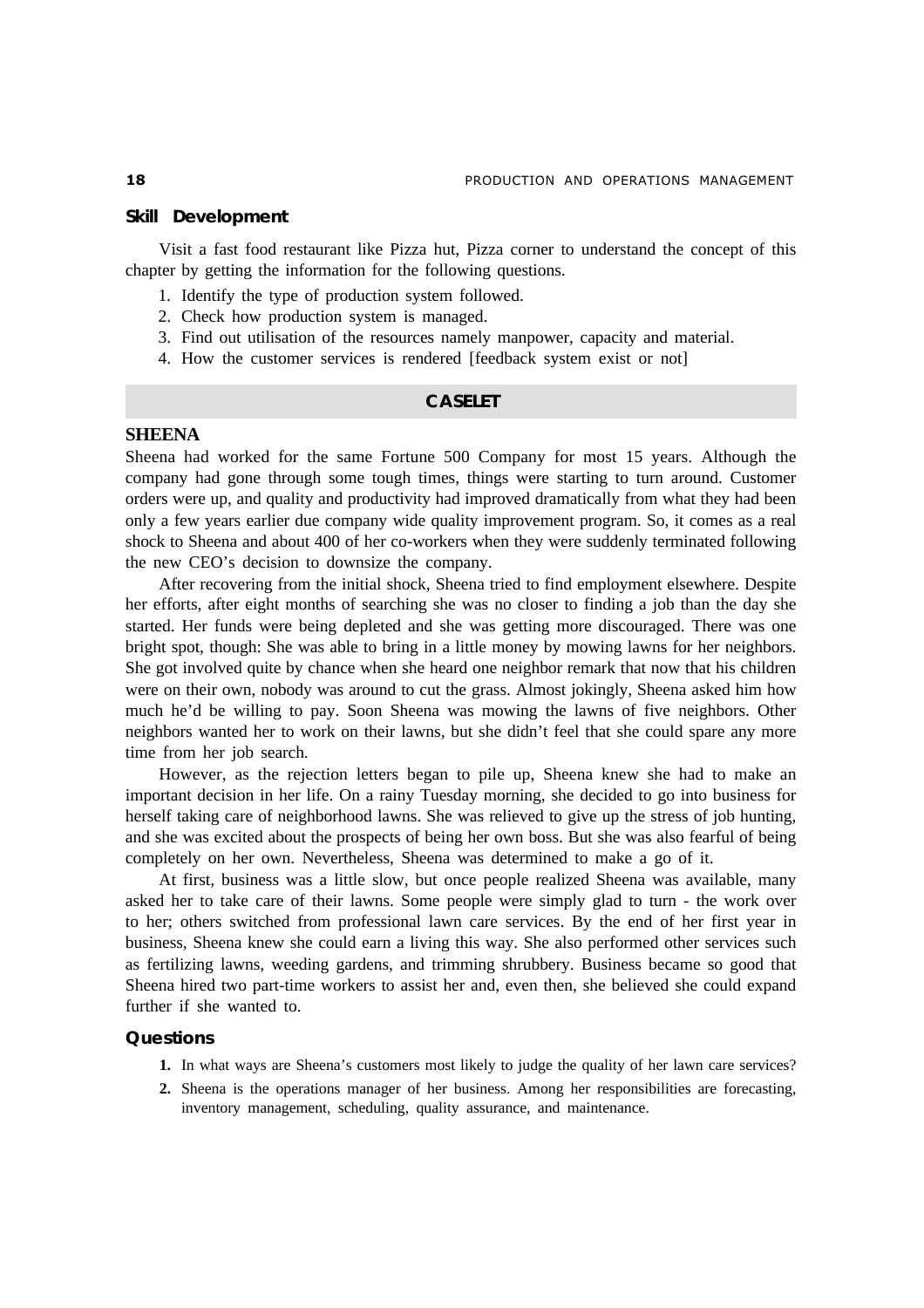#### **Skill Development**

Visit a fast food restaurant like Pizza hut, Pizza corner to understand the concept of this chapter by getting the information for the following questions.

- 1. Identify the type of production system followed.
- 2. Check how production system is managed.
- 3. Find out utilisation of the resources namely manpower, capacity and material.
- 4. How the customer services is rendered [feedback system exist or not]

#### **CASELET**

# **SHEENA**

Sheena had worked for the same Fortune 500 Company for most 15 years. Although the company had gone through some tough times, things were starting to turn around. Customer orders were up, and quality and productivity had improved dramatically from what they had been only a few years earlier due company wide quality improvement program. So, it comes as a real shock to Sheena and about 400 of her co-workers when they were suddenly terminated following the new CEO's decision to downsize the company.

After recovering from the initial shock, Sheena tried to find employment elsewhere. Despite her efforts, after eight months of searching she was no closer to finding a job than the day she started. Her funds were being depleted and she was getting more discouraged. There was one bright spot, though: She was able to bring in a little money by mowing lawns for her neighbors. She got involved quite by chance when she heard one neighbor remark that now that his children were on their own, nobody was around to cut the grass. Almost jokingly, Sheena asked him how much he'd be willing to pay. Soon Sheena was mowing the lawns of five neighbors. Other neighbors wanted her to work on their lawns, but she didn't feel that she could spare any more time from her job search.

However, as the rejection letters began to pile up, Sheena knew she had to make an important decision in her life. On a rainy Tuesday morning, she decided to go into business for herself taking care of neighborhood lawns. She was relieved to give up the stress of job hunting, and she was excited about the prospects of being her own boss. But she was also fearful of being completely on her own. Nevertheless, Sheena was determined to make a go of it.

At first, business was a little slow, but once people realized Sheena was available, many asked her to take care of their lawns. Some people were simply glad to turn - the work over to her; others switched from professional lawn care services. By the end of her first year in business, Sheena knew she could earn a living this way. She also performed other services such as fertilizing lawns, weeding gardens, and trimming shrubbery. Business became so good that Sheena hired two part-time workers to assist her and, even then, she believed she could expand further if she wanted to.

#### **Questions**

- **1.** In what ways are Sheena's customers most likely to judge the quality of her lawn care services?
- **2.** Sheena is the operations manager of her business. Among her responsibilities are forecasting, inventory management, scheduling, quality assurance, and maintenance.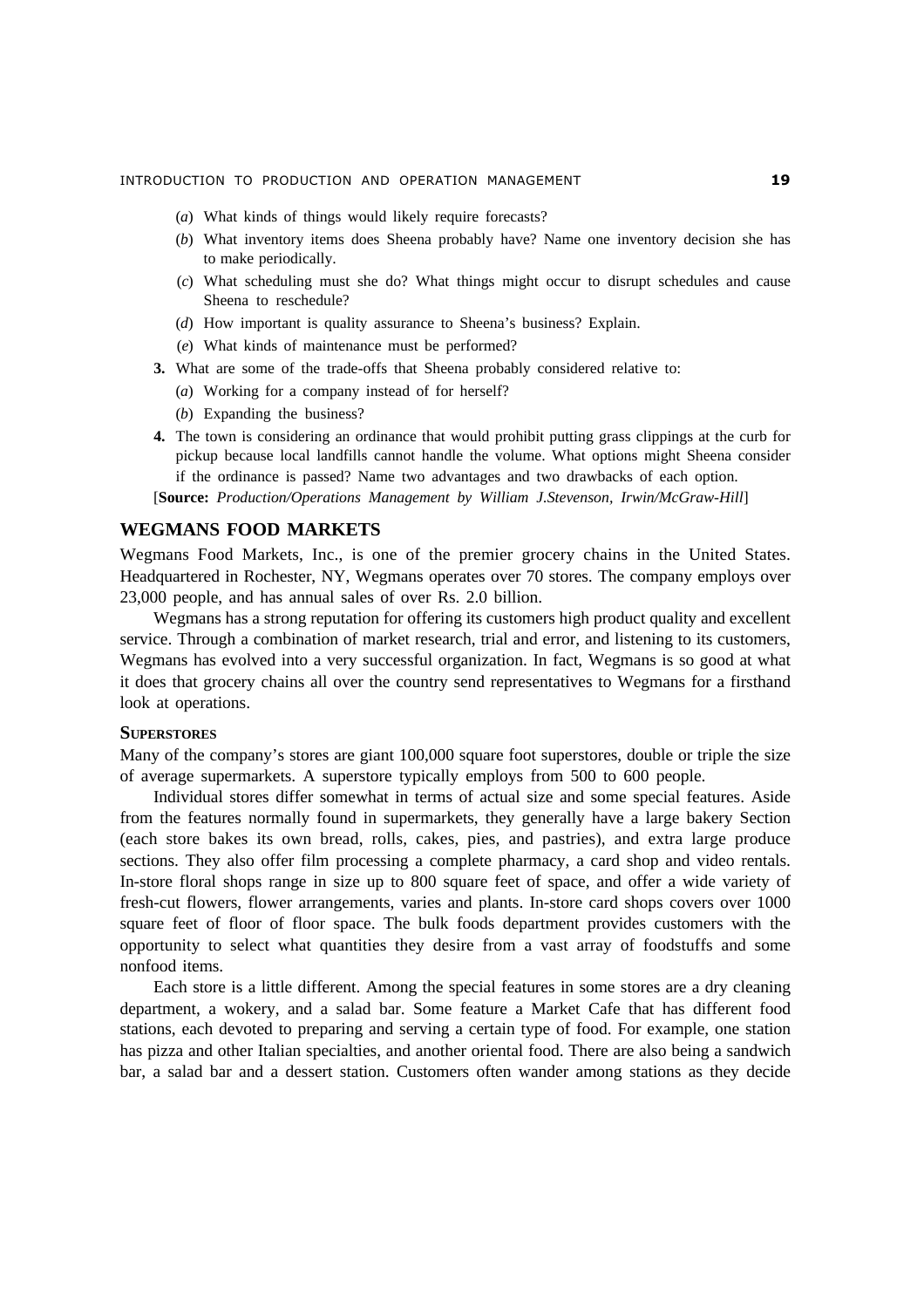- (*a*) What kinds of things would likely require forecasts?
- (*b*) What inventory items does Sheena probably have? Name one inventory decision she has to make periodically.
- (*c*) What scheduling must she do? What things might occur to disrupt schedules and cause Sheena to reschedule?
- (*d*) How important is quality assurance to Sheena's business? Explain.
- (*e*) What kinds of maintenance must be performed?
- **3.** What are some of the trade-offs that Sheena probably considered relative to:
	- (*a*) Working for a company instead of for herself?
	- (*b*) Expanding the business?
- **4.** The town is considering an ordinance that would prohibit putting grass clippings at the curb for pickup because local landfills cannot handle the volume. What options might Sheena consider if the ordinance is passed? Name two advantages and two drawbacks of each option.

[**Source:** *Production/Operations Management by William J.Stevenson, Irwin/McGraw-Hill*]

#### **WEGMANS FOOD MARKETS**

Wegmans Food Markets, Inc., is one of the premier grocery chains in the United States. Headquartered in Rochester, NY, Wegmans operates over 70 stores. The company employs over 23,000 people, and has annual sales of over Rs. 2.0 billion.

Wegmans has a strong reputation for offering its customers high product quality and excellent service. Through a combination of market research, trial and error, and listening to its customers, Wegmans has evolved into a very successful organization. In fact, Wegmans is so good at what it does that grocery chains all over the country send representatives to Wegmans for a firsthand look at operations.

#### **SUPERSTORES**

Many of the company's stores are giant 100,000 square foot superstores, double or triple the size of average supermarkets. A superstore typically employs from 500 to 600 people.

Individual stores differ somewhat in terms of actual size and some special features. Aside from the features normally found in supermarkets, they generally have a large bakery Section (each store bakes its own bread, rolls, cakes, pies, and pastries), and extra large produce sections. They also offer film processing a complete pharmacy, a card shop and video rentals. In-store floral shops range in size up to 800 square feet of space, and offer a wide variety of fresh-cut flowers, flower arrangements, varies and plants. In-store card shops covers over 1000 square feet of floor of floor space. The bulk foods department provides customers with the opportunity to select what quantities they desire from a vast array of foodstuffs and some nonfood items.

Each store is a little different. Among the special features in some stores are a dry cleaning department, a wokery, and a salad bar. Some feature a Market Cafe that has different food stations, each devoted to preparing and serving a certain type of food. For example, one station has pizza and other Italian specialties, and another oriental food. There are also being a sandwich bar, a salad bar and a dessert station. Customers often wander among stations as they decide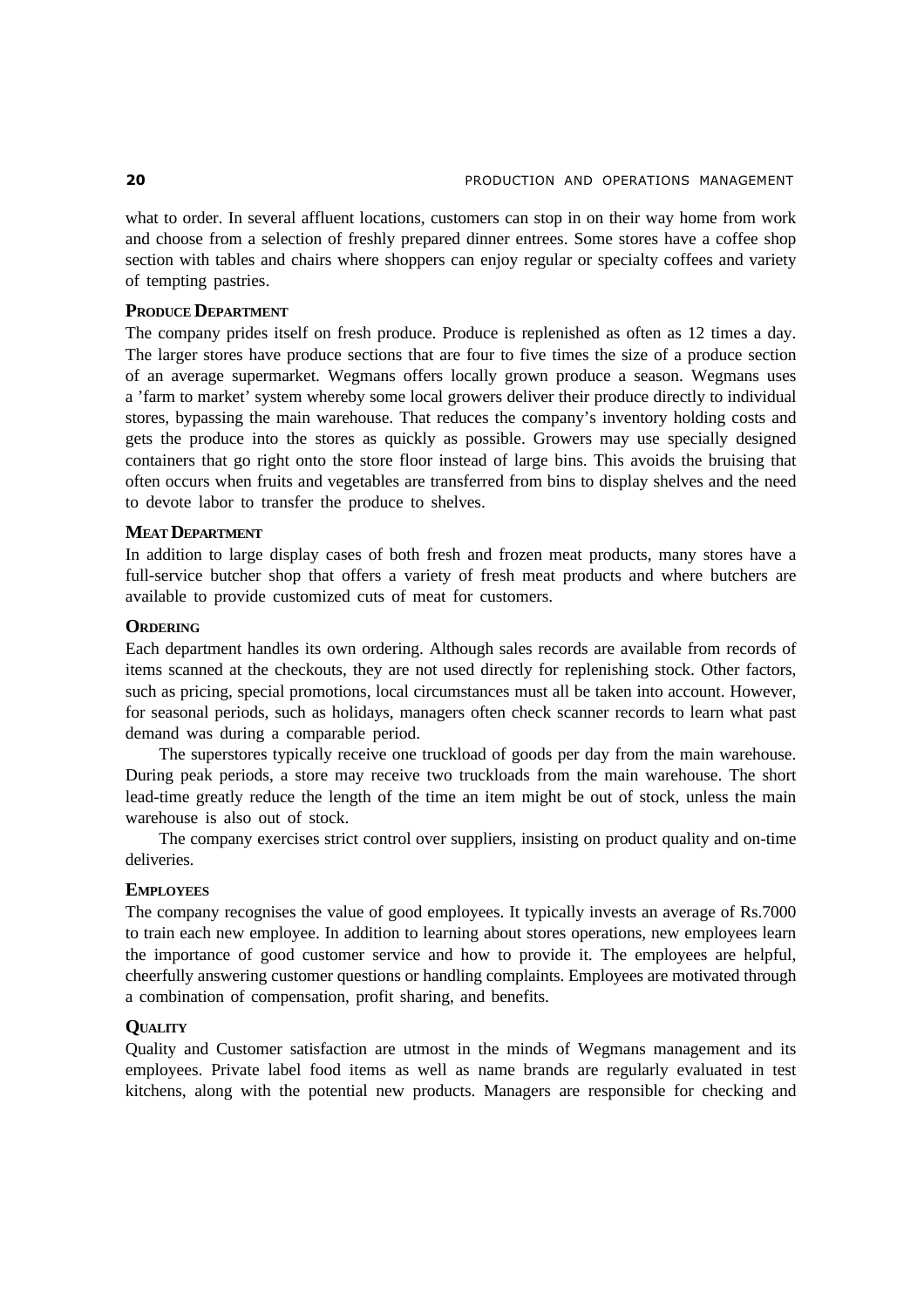what to order. In several affluent locations, customers can stop in on their way home from work and choose from a selection of freshly prepared dinner entrees. Some stores have a coffee shop section with tables and chairs where shoppers can enjoy regular or specialty coffees and variety of tempting pastries.

#### **PRODUCE DEPARTMENT**

The company prides itself on fresh produce. Produce is replenished as often as 12 times a day. The larger stores have produce sections that are four to five times the size of a produce section of an average supermarket. Wegmans offers locally grown produce a season. Wegmans uses a 'farm to market' system whereby some local growers deliver their produce directly to individual stores, bypassing the main warehouse. That reduces the company's inventory holding costs and gets the produce into the stores as quickly as possible. Growers may use specially designed containers that go right onto the store floor instead of large bins. This avoids the bruising that often occurs when fruits and vegetables are transferred from bins to display shelves and the need to devote labor to transfer the produce to shelves.

#### **MEAT DEPARTMENT**

In addition to large display cases of both fresh and frozen meat products, many stores have a full-service butcher shop that offers a variety of fresh meat products and where butchers are available to provide customized cuts of meat for customers.

#### **ORDERING**

Each department handles its own ordering. Although sales records are available from records of items scanned at the checkouts, they are not used directly for replenishing stock. Other factors, such as pricing, special promotions, local circumstances must all be taken into account. However, for seasonal periods, such as holidays, managers often check scanner records to learn what past demand was during a comparable period.

The superstores typically receive one truckload of goods per day from the main warehouse. During peak periods, a store may receive two truckloads from the main warehouse. The short lead-time greatly reduce the length of the time an item might be out of stock, unless the main warehouse is also out of stock.

The company exercises strict control over suppliers, insisting on product quality and on-time deliveries.

#### **EMPLOYEES**

The company recognises the value of good employees. It typically invests an average of Rs.7000 to train each new employee. In addition to learning about stores operations, new employees learn the importance of good customer service and how to provide it. The employees are helpful, cheerfully answering customer questions or handling complaints. Employees are motivated through a combination of compensation, profit sharing, and benefits.

#### **QUALITY**

Quality and Customer satisfaction are utmost in the minds of Wegmans management and its employees. Private label food items as well as name brands are regularly evaluated in test kitchens, along with the potential new products. Managers are responsible for checking and

#### 20